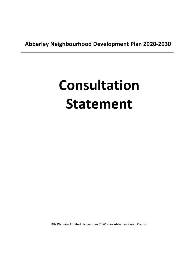**Abberley Neighbourhood Development Plan 2020-2030**

# **Consultation Statement**

DJN Planning Limited · November 2020 · For Abberley Parish Council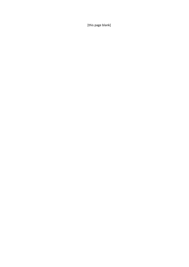[this page blank]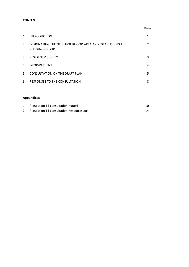#### **CONTENTS**

|    |                                                                                  | Page |
|----|----------------------------------------------------------------------------------|------|
| 1. | <b>INTRODUCTION</b>                                                              | 1    |
| 2. | DESIGNATING THE NEIGHBOURHOOD AREA AND ESTABLISHING THE<br><b>STEERING GROUP</b> | 2    |
| 3. | <b>RESIDENTS' SURVEY</b>                                                         | 3    |
| 4. | <b>DROP-IN EVENT</b>                                                             | 4    |
| 5. | <b>CONSULTATION ON THE DRAFT PLAN</b>                                            | 5    |
| 6. | RESPONSES TO THE CONSULTATION                                                    | 8    |
|    |                                                                                  |      |
|    | <b>Appendices</b>                                                                |      |

| 1. Regulation 14 consultation material     |  |
|--------------------------------------------|--|
| 2. Regulation 14 consultation Response Log |  |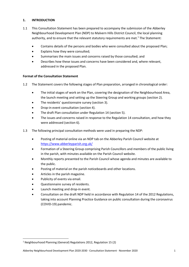#### **1. INTRODUCTION**

- 1.1 This Consultation Statement has been prepared to accompany the submission of the Abberley Neighbourhood Development Plan (NDP) to Malvern Hills District Council, the local planning authority, and to ensure that the relevant statutory requirements are met.<sup>1</sup> The Statement:
	- Contains details of the persons and bodies who were consulted about the proposed Plan;
	- Explains how they were consulted;
	- Summarises the main issues and concerns raised by those consulted; and
	- Describes how these issues and concerns have been considered and, where relevant, addressed in the proposed Plan.

#### **Format of the Consultation Statement**

- 1.2 The Statement covers the following stages of Plan preparation, arranged in chronological order:
	- The initial stages of work on the Plan, covering the designation of the Neighbourhood Area, the launch meeting and setting up the Steering Group and working groups (section 2).
	- The residents' questionnaire survey (section 3).
	- Drop-in event consultation (section 4).
	- The draft Plan consultation under Regulation 14 (section 5).
	- The issues and concerns raised in response to the Regulation 14 consultation, and how they were addressed (section 6).
- 1.3 The following principal consultation methods were used in preparing the NDP:
	- Posting of material online via an NDP tab on the Abberley Parish Council website at <https://www.abberleyparish.org.uk/>
	- Formation of a Steering Group comprising Parish Councillors and members of the public living in the parish, with minutes available on the Parish Council website.
	- Monthly reports presented to the Parish Council whose agenda and minutes are available to the public.
	- Posting of material on the parish noticeboards and other locations.
	- Articles in the parish magazine.
	- Publicity of events via email.
	- Questionnaire survey of residents.
	- Launch meeting and drop-in event.
	- Consultation on the draft NDP held in accordance with Regulation 14 of the 2012 Regulations, taking into account Planning Practice Guidance on public consultation during the coronavirus (COVID-19) pandemic.

<sup>&</sup>lt;sup>1</sup> Neighbourhood Planning (General) Regulations 2012, Regulation 15 (2)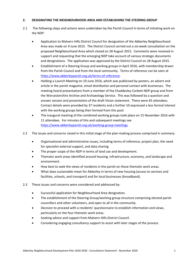#### **2. DESIGNATING THE NEIGHBOURHOOD AREA AND ESTABLISHING THE STEERING GROUP**

- 2.1 The following steps and actions were undertaken by the Parish Council in terms of initiating work on the NDP:
	- Application to Malvern Hills District Council for designation of the Abberley Neighbourhood Area was made on 9 June 2015. The District Council carried out a six-week consultation on the proposed Neighbourhood Area which closed on 28 August 2015. Comments were received in support and requesting that the emerging NDP take account of various strategic documents and designations. The application was approved by the District Council on 28 August 2015.
	- Establishment of a Steering Group and working groups in April 2016, with membership drawn from the Parish Council and from the local community. Terms of reference can be seen at [https://www.abberleyparish.org.uk/terms-of-reference.](https://www.abberleyparish.org.uk/terms-of-reference)
	- Holding a Launch Meeting on 19 June 2016, which was publicised by posters, an advert and article in the parish magazine, email distribution and personal contact with businesses. The meeting heard presentations from a member of the Chaddesley Corbett NDP group and from the Worcestershire Archive and Archaeology Service. This was followed by a question and answer session and presentation of the draft Vision statement. There were 65 attendees. Contact details were provided by 37 residents and a further 10 expressed a less formal interest with the working groups being then formed from this pool.
	- The inaugural meeting of the combined working groups took place on 15 November 2016 with 11 attendees. For minutes of this and subsequent meetings see [https://www.abberleyparish.org.uk/working-group-meetings.](https://www.abberleyparish.org.uk/working-group-meetings)
- 2.2 The issues and concerns raised in this initial stage of the plan-making process comprised in summary:
	- Organisational and administrative issues, including terms of reference, project plan, the need for specialist external support, and data sharing.
	- The proper scope of the NDP in terms of land use and development.
	- Thematic work areas identified around housing, infrastructure, economy, and landscape and environment.
	- How best to seek the views of residents in the parish on these thematic work areas.
	- What does sustainable mean for Abberley in terms of new housing (access to services and facilities, schools, and transport) and for local businesses (broadband).
- 2.3 These issues and concerns were considered and addressed by:
	- Successful application for Neighbourhood Area designation.
	- The establishment of the Steering Group/working group structure comprising elected parish councillors and other volunteers, and open to all in the community.
	- Decision to proceed with a residents' questionnaire to establish information and views, particularly on the four thematic work areas.
	- Seeking advice and support from Malvern Hills District Council.
	- Considering engaging consultancy support to assist with later stages of the process.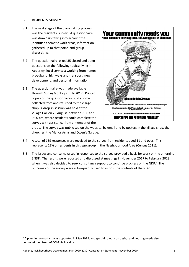#### **3. RESIDENTS' SURVEY**

- 3.1 The next stage of the plan-making process was the residents' survey. A questionnaire was drawn up taking into account the identified thematic work areas, information gathered up to that point, and group discussions.
- 3.2 The questionnaire asked 35 closed and open questions on the following topics: living in Abberley; local services; working from home; broadband; highways and transport; new development; and personal information.
- 3.3 The questionnaire was made available through SurveyMonkey in July 2017. Printed copies of the questionnaire could also be collected from and returned to the village shop. A drop-in session was held at the Village Hall on 23 August, between 7.30 and 9.00 pm, where residents could complete the survey with assistance from a member of the



group. The survey was publicised on the website, by email and by posters in the village shop, the churches, the Manor Arms and Owen's Garage.

- 3.4 A total of 159 responses were received to the survey from residents aged 11 and over. This represents 22% of residents in this age group in the Neighbourhood Area (Census 2011).
- 3.5 The issues and concerns raised in responses to the survey provided a basis for work on the emerging 3NDP. The results were reported and discussed at meetings in November 2017 to February 2018, when it was also decided to seek consultancy support to continue progress on the NDP. $^2$  The outcomes of the survey were subsequently used to inform the contents of the NDP.

 $<sup>2</sup>$  A planning consultant was appointed in May 2018, and specialist work on design and housing needs also</sup> commissioned from AECOM via Locality.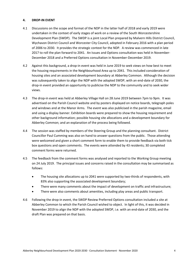#### **4. DROP-IN EVENT**

- 4.1 Discussions on the scope and format of the NDP in the latter half of 2018 and early 2019 were undertaken in the context of early stages of work on a review of the South Worcestershire Development Plan (SWDP). The SWDP is a joint Local Plan prepared by Malvern Hills District Council, Wychavon District Council and Worcester City Council, adopted in February 2016 with a plan period of 2006 to 2030. It provides the strategic context for the NDP. A review was commenced in late 2017 to roll the plan forward to 2041. An Issues and Options consultation was held in November-December 2018 and a Preferred Options consultation in November-December 2019.
- 4.2 Against this background, a drop-in event was held in June 2019 to seek views on how best to meet the housing requirements in the Neighbourhood Area up to 2041. This included consideration of housing sites and an associated development boundary at Abberley Common. Although the decision was subsequently taken to align the NDP with the adopted SWDP, with an end-date of 2030, the drop-in event provided an opportunity to publicise the NDP to the community and to seek wider views.
- 4.3 The drop-in event was held at Abberley Village Hall on 28 June 2019 between 7pm to 9pm. It was advertised on the Parish Council website and by posters displayed on notice boards, telegraph poles and windows and at the Manor Arms. The event was also publicised in the parish magazine, email and using a display banner. Exhibition boards were prepared to show the housing requirement and other background information; possible housing site allocations and a development boundary for Abberley Common; and an explanation of the process being followed.
- 4.4 The session was staffed by members of the Steering Group and the planning consultant. District Councillor Paul Cumming was also on hand to answer questions from the public. Those attending were welcomed and given a short comment form to enable them to provide feedback via both tick box questions and open comments. The events were attended by 43 residents; 30 completed comment forms were returned.
- 4.5 The feedback from the comment forms was analysed and reported to the Working Group meeting on 24 July 2019. The principal issues and concerns raised in the consultation may be summarised as follows:
	- The housing site allocations up to 2041 were supported by two-thirds of respondents, with 83% also supporting the associated development boundary;
	- There were many comments about the impact of development on traffic and infrastructure;
	- There were also comments about amenities, including play areas and public transport.
- 4.6 Following the drop-in event, the SWDP Review Preferred Options consultation included a site at Abberley Common to which the Parish Council wished to object. In light of this, it was decided in November 2019 to align the NDP with the adopted SWDP, i.e. with an end-date of 2030, and the draft Plan was prepared on that basis.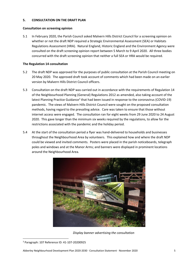#### **5. CONSULTATION ON THE DRAFT PLAN**

#### **Consultation on screening opinion**

5.1 In February 2020, the Parish Council asked Malvern Hills District Council for a screening opinion on whether or not the draft NDP required a Strategic Environmental Assessment (SEA) or Habitats Regulations Assessment (HRA). Natural England, Historic England and the Environment Agency were consulted on the draft screening opinion report between 5 March to 9 April 2020. All three bodies concurred with the draft screening opinion that neither a full SEA or HRA would be required.

#### **The Regulation 14 consultation**

- 5.2 The draft NDP was approved for the purposes of public consultation at the Parish Council meeting on 20 May 2020. The approved draft took account of comments which had been made on an earlier version by Malvern Hills District Council officers.
- 5.3 Consultation on the draft NDP was carried out in accordance with the requirements of Regulation 14 of the Neighbourhood Planning (General) Regulations 2012 as amended, also taking account of the latest Planning Practice Guidance<sup>3</sup> that had been issued in response to the coronavirus (COVID-19) pandemic. The views of Malvern Hills District Council were sought on the proposed consultation methods, having regard to the prevailing advice. Care was taken to ensure that those without internet access were engaged. The consultation ran for eight weeks from 29 June 2020 to 24 August 2020. This gave longer than the minimum six weeks required by the regulations, to allow for the restrictions associated with the pandemic and the holiday period.
- 5.4 At the start of the consultation period a flyer was hand-delivered to households and businesses throughout the Neighbourhood Area by volunteers. This explained how and where the draft NDP could be viewed and invited comments. Posters were placed in the parish noticeboards, telegraph poles and windows and at the Manor Arms; and banners were displayed in prominent locations around the Neighbourhood Area.



*Display banner advertising the consultation* 

<sup>3</sup> Paragraph: 107 Reference ID: 41-107-20200925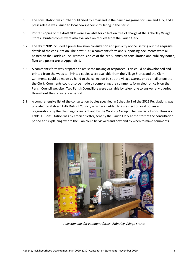- 5.5 The consultation was further publicised by email and in the parish magazine for June and July, and a press release was issued to local newspapers circulating in the parish.
- 5.6 Printed copies of the draft NDP were available for collection free of charge at the Abberley Village Stores. Printed copies were also available on request from the Parish Clerk.
- 5.7 The draft NDP included a pre-submission consultation and publicity notice, setting out the requisite details of the consultation. The draft NDP, a comments form and supporting documents were all posted on the Parish Council website. Copies of the pre-submission consultation and publicity notice, flyer and poster are at Appendix 1.
- 5.8 A comments form was prepared to assist the making of responses. This could be downloaded and printed from the website. Printed copies were available from the Village Stores and the Clerk. Comments could be made by hand to the collection box at the Village Stores, or by email or post to the Clerk. Comments could also be made by completing the comments form electronically on the Parish Council website. Two Parish Councillors were available by telephone to answer any queries throughout the consultation period.
- 5.9 A comprehensive list of the consultation bodies specified in Schedule 1 of the 2012 Regulations was provided by Malvern Hills District Council, which was added to in respect of local bodies and organisations by the planning consultant and by the Working Group. The final list of consultees is at Table 1. Consultation was by email or letter, sent by the Parish Clerk at the start of the consultation period and explaining where the Plan could be viewed and how and by when to make comments.



*Collection box for comment forms, Abberley Village Stores*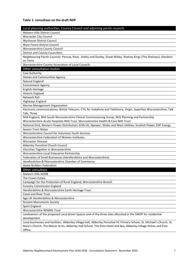#### **Table 1: consultees on the draft NDP**

| Local planning authorities, County Council and adjoining parish councils                                                |
|-------------------------------------------------------------------------------------------------------------------------|
| <b>Malvern Hills District Council</b>                                                                                   |
| <b>Worcester City Council</b>                                                                                           |
| Wychavon District Council                                                                                               |
| Wyre Forest District Council                                                                                            |
| <b>Worcestershire County Council</b>                                                                                    |
| <b>District and County Councillors</b>                                                                                  |
| Neighbouring Parish Councils: Pensax, Rock, Astley and Dunley, Great Witley, Shelsey Kings (The Shelseys), Stockton     |
| on Teme                                                                                                                 |
| Worcestershire County Association of Local Councils                                                                     |
| Other consultation bodies                                                                                               |
| Coal Authority                                                                                                          |
| Homes and Communities Agency                                                                                            |
| Natural England                                                                                                         |
| <b>Environment Agency</b>                                                                                               |
| English Heritage                                                                                                        |
| Historic England                                                                                                        |
| <b>Network Rail</b>                                                                                                     |
| Highways England                                                                                                        |
| Marine Management Organisation                                                                                          |
| Electronic communications: British Telecom, CTIL for Vodafone and Telefonica, Virgin, Superfast Worcestershire, Talk    |
| Talk, Three.                                                                                                            |
| NHS England, NHS South Worcestershire Clinical Commissioning Group, NHS Planning and Partnership                        |
| Worcestershire Acute Hospitals NHS Trust, Worcestershire Health & Care NHS Trust                                        |
| National Grid, Western Power Distribution, EON UK, Npower, Wales and West Utilities, Scottish Power, EDF Energy         |
| Severn Trent Water                                                                                                      |
| Worcestershire Council for Voluntary Youth Services                                                                     |
| Worcestershire Federation of Women Institutes                                                                           |
| <b>Worcester Diocese</b>                                                                                                |
| Abberley Parochial Church Council                                                                                       |
| Churches Together in Worcestershire                                                                                     |
| Worcestershire Local Enterprise Partnership                                                                             |
| Federation of Small Businesses (Herefordshire and Worcestershire)                                                       |
| Herefordshire & Worcestershire Chamber of Commerce                                                                      |
| Home Builders Federation                                                                                                |
| Other consultees                                                                                                        |
| Malvern Hills AONB                                                                                                      |
| The Crown Estate                                                                                                        |
| Campaign for the Protection of Rural England, Worcestershire Branch                                                     |
| <b>Forestry Commission England</b>                                                                                      |
| Herefordshire & Worcestershire Earth Heritage Trust                                                                     |
| Canal and River Trust                                                                                                   |
| Age UK Herefordshire & Worcestershire                                                                                   |
| <b>Ancient Monuments Society</b>                                                                                        |
| Sport England                                                                                                           |
| Worcestershire Wildlife Trust                                                                                           |
| Landowners of the proposed Local Green Spaces and of the three sites allocated in the SWDP for residential              |
| development                                                                                                             |
| Local businesses and facilities: Abberley Village Hall, Abberley Parochial VC Primary School, St. Michael's Church, St. |
| Mary's Church, The Manor Arms, Abberley Hall School, The Elms Hotel and Spa, Abberley Village Stores and Post           |
| Office.                                                                                                                 |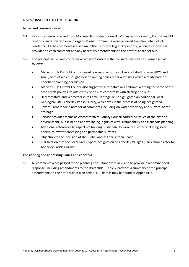#### **6. RESPONSES TO THE CONSULTATION**

#### **Issues and concerns raised**

- 6.1 Responses were received from Malvern Hills District Council, Worcestershire County Council and 13 other consultation bodies and organisations. Comments were received from/on behalf of 24 residents. All the comments are shown in the Response Log at Appendix 2, where a response is provided to each comment and any necessary amendments to the draft NDP are set out.
- 6.2 The principal issues and concerns which were raised in the consultation may be summarised as follows:
	- Malvern Hills District Council raised concerns with the inclusion of draft policies ABY4 and ABY5, both of which sought to set planning policy criteria for sites which already had the benefit of planning permission.
	- Malvern Hills District Council also suggested alternative or additional wording for some of the other draft policies, to add clarity or ensure conformity with strategic policies.
	- Herefordshire and Worcestershire Earth Heritage Trust highlighted an additional Local Geological Site, Abberley Parish Quarry, which was in the process of being designated.
	- Severn Trent made a number of comments including on water efficiency and surface water drainage.
	- Service provider teams at Worcestershire County Council addressed issues of the historic environment, public health and wellbeing, rights of way, sustainability and transport planning.
	- Additional references to aspects of building sustainability were requested including solar panels, rainwater harvesting and permeable surfaces.
	- Objection to the inclusion of the Glebe land as Local Green Space.
	- Clarification that the Local Green Space designation of Abberley Village Quarry should refer to Abberley Parish Quarry.

#### **Considering and addressing issues and concerns**

6.3 All comments were passed to the planning consultant for review and to provide a recommended response, including amendments to the draft NDP. Table 2 provides a summary of the principal amendments to the draft NDP in plan order. Full details may be found at Appendix 2.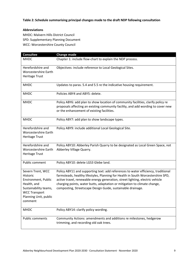#### **Table 2: Schedule summarising principal changes made to the draft NDP following consultation**

#### **Abbreviations**

MHDC: Malvern Hills District Council SPD: Supplementary Planning Document WCC: Worcestershire County Council

| <b>Consultee</b>                                                                                                                                         | <b>Change made</b>                                                                                                                                                                                                                                                                                                                                                                                 |
|----------------------------------------------------------------------------------------------------------------------------------------------------------|----------------------------------------------------------------------------------------------------------------------------------------------------------------------------------------------------------------------------------------------------------------------------------------------------------------------------------------------------------------------------------------------------|
| <b>MHDC</b>                                                                                                                                              | Chapter 1: include flow-chart to explain the NDP process.                                                                                                                                                                                                                                                                                                                                          |
| Herefordshire and<br><b>Worcestershire Earth</b><br><b>Heritage Trust</b>                                                                                | Objectives: include reference to Local Geological Sites.                                                                                                                                                                                                                                                                                                                                           |
| <b>MHDC</b>                                                                                                                                              | Updates to paras. 5.4 and 5.5 re the indicative housing requirement.                                                                                                                                                                                                                                                                                                                               |
| <b>MHDC</b>                                                                                                                                              | Policies ABY4 and ABY5: delete.                                                                                                                                                                                                                                                                                                                                                                    |
| <b>MHDC</b>                                                                                                                                              | Policy ABY6: add plan to show location of community facilities, clarify policy re<br>proposals affecting an existing community facility, and add wording to cover new<br>or the enhancement of existing facilities.                                                                                                                                                                                |
| <b>MHDC</b>                                                                                                                                              | Policy ABY7: add plan to show landscape types.                                                                                                                                                                                                                                                                                                                                                     |
| Herefordshire and<br><b>Worcestershire Earth</b><br><b>Heritage Trust</b>                                                                                | Policy ABY9: include additional Local Geological Site.                                                                                                                                                                                                                                                                                                                                             |
| Herefordshire and<br><b>Worcestershire Earth</b><br><b>Heritage Trust</b>                                                                                | Policy ABY10: Abberley Parish Quarry to be designated as Local Green Space, not<br>Abberley Village Quarry.                                                                                                                                                                                                                                                                                        |
| Public comment                                                                                                                                           | Policy ABY10: delete LGS3 Glebe land.                                                                                                                                                                                                                                                                                                                                                              |
| Severn Trent, WCC<br>Historic<br>Environment, Public<br>Health, and<br>Sustainability teams,<br><b>WCC Transport</b><br>Planning Unit, public<br>comment | Policy ABY11 and supporting text: add references to water efficiency, traditional<br>farmsteads, healthy lifestyles, Planning for Health in South Worcestershire SPD,<br>active travel, renewable energy generation, street lighting, electric vehicle<br>charging points, water butts, adaptation or mitigation to climate change,<br>composting, Streetscape Design Guide, sustainable drainage. |
| <b>MHDC</b>                                                                                                                                              | Policy ABY14: clarify policy wording.                                                                                                                                                                                                                                                                                                                                                              |
| <b>Public comments</b>                                                                                                                                   | Community Actions: amendments and additions re milestones, hedgerow<br>trimming, and recording old oak trees.                                                                                                                                                                                                                                                                                      |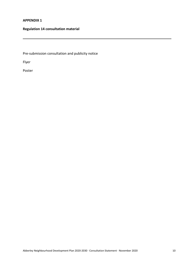#### **APPENDIX 1**

#### **Regulation 14 consultation material**

Pre-submission consultation and publicity notice

Flyer

Poster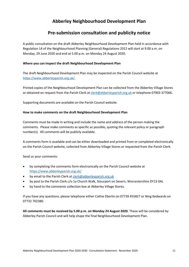### **Abberley Neighbourhood Development Plan**

#### **Pre-submission consultation and publicity notice**

A public consultation on the draft Abberley Neighbourhood Development Plan held in accordance with Regulation 14 of the Neighbourhood Planning (General) Regulations 2012 will start at 9.00 a.m. on Monday, 29 June 2020 and end at 5.00 p.m. on Monday 24 August 2020.

#### **Where you can inspect the draft Neighbourhood Development Plan**

The draft Neighbourhood Development Plan may be inspected on the Parish Council website at [https://www.abberleyparish.org.uk/.](https://www.abberleyparish.org.uk/)

Printed copies of the Neighbourhood Development Plan can be collected from the Abberley Village Stores or obtained on request from the Parish Clerk at [clerk@abberleyparish.org.uk](mailto:clerk@abberleyparish.org.uk) or telephone 07903 377066.

Supporting documents are available on the Parish Council website.

#### **How to make comments on the draft Neighbourhood Development Plan**

Comments must be made in writing and include the name and address of the person making the comments. Please make comments as specific as possible, quoting the relevant policy or paragraph number(s). All comments will be publicly available.

A comments form is available and can be either downloaded and printed from or completed electronically on the Parish Council website, collected from Abberley Village Stores or requested from the Parish Clerk.

Send us your comments:

- by completing the comments form electronically on the Parish Council website at <https://www.abberleyparish.org.uk/>
- by email to the Parish Clerk a[t clerk@abberleyparish.org.uk](mailto:clerk@abberleyparish.org.uk)
- by post to the Parish Clerk c/o 1a Church Walk, Stourport on Severn, Worcestershire DY13 0AL
- by hand to the comments collection box at Abberley Village Stores.

If you have any questions, please telephone either Cathie Eberlin on 07739 455827 or Ning Kedwards on 07732 702380.

**All comments must be received by 5.00 p.m. on Monday 24 August 2020.** These will be considered by Abberley Parish Council and will help shape the final Neighbourhood Development Plan.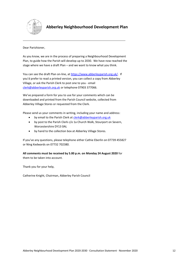

Dear Parishioner,

As you know, we are in the process of preparing a Neighbourhood Development Plan, to guide how the Parish will develop up to 2030. We have now reached the stage where we have a draft Plan – and we want to know what you think.

You can see the draft Plan on-line, at https://www.abberleyparish.org.uk/. If you'd prefer to read a printed version, you can collect a copy from Abberley Village, or ask the Parish Clerk to post one to you - email clerk@abberleyparish.org.uk or telephone 07903 377066.

We've prepared a form for you to use for your comments which can be downloaded and printed from the Parish Council website, collected from Abberley Village Stores or requested from the Clerk.

Please send us your comments in writing, including your name and address:

- by email to the Parish Clerk at clerk@abberleyparish.org.uk
- by post to the Parish Clerk c/o 1a Church Walk, Stourport on Severn, Worcestershire DY13 0AL
- by hand to the collection box at Abberley Village Stores.

If you've any questions, please telephone either Cathie Eberlin on 07739 455827 or Ning Kedwards on 07732 702380.

**All comments must be received by 5.00 p.m. on Monday 24 August 2020** for them to be taken into account.

Thank you for your help,

Catherine Knight, Chairman, Abberley Parish Council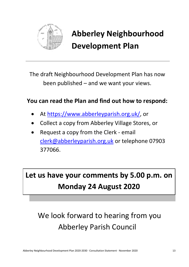

# **Abberley Neighbourhood Development Plan**

The draft Neighbourhood Development Plan has now been published – and we want your views.

## **You can read the Plan and find out how to respond:**

- At https://www.abberleyparish.org.uk/, or
- Collect a copy from Abberley Village Stores, or
- Request a copy from the Clerk email clerk@abberleyparish.org.uk or telephone 07903 377066.

# **Let us have your comments by 5.00 p.m. on Monday 24 August 2020**

# We look forward to hearing from you Abberley Parish Council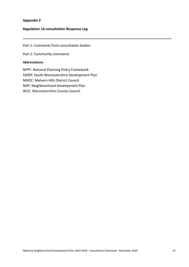#### **Appendix 2**

#### **Regulation 14 consultation Response Log**

Part 1: Comments from consultation bodies

Part 2: Community comments

#### **Abbreviations**

NPPF: National Planning Policy Framework SWDP: South Worcestershire Development Plan MHDC: Malvern Hills District Council NDP: Neighbourhood Development Plan WCC: Worcestershire County Council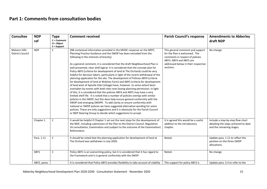### **Part 1: Comments from consultation bodies**

| <b>Consultee</b>                                | <b>NDP</b><br>ref | <b>Type</b><br>$C = Comment$<br>$O = Object$<br>$S = Support$ | <b>Comment received</b>                                                                                                                                                                                                                                                                                                                                                                                                                                                                                                                                                                                                                                                                                                                                                                                                                                                                                                                                                                                                                                                                                                                                                                                                                                                                                                                                                                                  | <b>Parish Council's response</b>                                                                                                                                                    | <b>Amendments to Abberley</b><br>draft NDP                                                             |
|-------------------------------------------------|-------------------|---------------------------------------------------------------|----------------------------------------------------------------------------------------------------------------------------------------------------------------------------------------------------------------------------------------------------------------------------------------------------------------------------------------------------------------------------------------------------------------------------------------------------------------------------------------------------------------------------------------------------------------------------------------------------------------------------------------------------------------------------------------------------------------------------------------------------------------------------------------------------------------------------------------------------------------------------------------------------------------------------------------------------------------------------------------------------------------------------------------------------------------------------------------------------------------------------------------------------------------------------------------------------------------------------------------------------------------------------------------------------------------------------------------------------------------------------------------------------------|-------------------------------------------------------------------------------------------------------------------------------------------------------------------------------------|--------------------------------------------------------------------------------------------------------|
| <b>Malvern Hills</b><br><b>District Council</b> | <b>NDP</b>        | C                                                             | [NB contextual information provided in the MHDC response on the NPPF,<br>Planning Practice Guidance and the SWDP has been excluded from the<br>following in the interests of brevity].<br>As a general comment, it is considered that the draft Neighbourhood Plan is<br>well presented, clear and logical. It is considered that the concept plan for<br>Policy ABY3 (criteria for development of land at The Orchard) could be very<br>helpful for decision takers, particularly in light of the recent withdrawal of the<br>planning application for the site. The development of Policies ABY4 (criteria<br>for development of land at Walshes Farm) and ABY5 (criteria for development<br>of land west of Apostle Oak Cottage) have, however, to some extent been<br>overtaken by events with both sites now having planning permission. In light<br>of this, it is considered that the policies ABY4 and ABY5 may have a very<br>limited shelf life. It is noted that a number of policies overlap with similar<br>policies in the SWDP, but this does help ensure general conformity with the<br>SWDP and emerging SWDPR. To add clarity or ensure conformity with<br>national or SWDP policies we have suggested alternative wording for some<br>policies. These are only suggestions and it is obviously for the Parish Council<br>or NDP Steering Group to decide which suggestions to accept. | This general comment and support<br>for the Plan is welcomed. The<br>comments in respect of policies<br>ABY3, ABY4 and ABY5 are<br>addressed below in their respective<br>sections. | No change.                                                                                             |
|                                                 | Chapter 1         | C                                                             | It would be helpful if Chapter 1 set out the next steps for the development of<br>the NDP, including submission of the Plan to the District Council, Regulation<br>16 consultation, Examination and (subject to the outcome of the Examination)<br>Referendum.                                                                                                                                                                                                                                                                                                                                                                                                                                                                                                                                                                                                                                                                                                                                                                                                                                                                                                                                                                                                                                                                                                                                           | It is agreed this would be a useful<br>addition to the introductory<br>chapter.                                                                                                     | Include a step-by-step flow chart<br>detailing the steps achieved to date<br>and the remaining stages. |
|                                                 | Para, 1.11        | C                                                             | It should be noted that the planning application for development of land at<br>The Orchard was withdrawn in July 2020.                                                                                                                                                                                                                                                                                                                                                                                                                                                                                                                                                                                                                                                                                                                                                                                                                                                                                                                                                                                                                                                                                                                                                                                                                                                                                   | Noted.                                                                                                                                                                              | Update para. 1.11 to reflect the<br>position on the three SWDP<br>allocations.                         |
|                                                 | ABY1              | C                                                             | Policy ABY1 is an overarching policy, but it is considered that it has regard to<br>the Framework and is in general conformity with the SWDP.                                                                                                                                                                                                                                                                                                                                                                                                                                                                                                                                                                                                                                                                                                                                                                                                                                                                                                                                                                                                                                                                                                                                                                                                                                                            | Noted.                                                                                                                                                                              | No change.                                                                                             |
|                                                 | ABY2, paras.      |                                                               | It is considered that Policy ABY2 provides flexibility to take account of viability                                                                                                                                                                                                                                                                                                                                                                                                                                                                                                                                                                                                                                                                                                                                                                                                                                                                                                                                                                                                                                                                                                                                                                                                                                                                                                                      | This support for policy ABY2 is                                                                                                                                                     | Update para. 5.4 to refer to the                                                                       |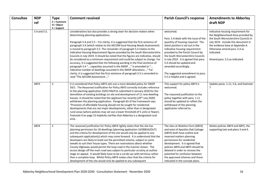| <b>Consultee</b> | <b>NDP</b><br>ref | <b>Type</b><br>$C = Comment$<br>$O = Object$<br>$S = Support$ | <b>Comment received</b>                                                                                                                                                                                                                                                                                                                                                                                                                                                                                                                                                                                                                                                                                                                                                                                                                                                                                                                                      | <b>Parish Council's response</b>                                                                                                                                                                                                                                                                                                                                                                            | <b>Amendments to Abberley</b><br>draft NDP                                                                                                                                                                                                                                 |
|------------------|-------------------|---------------------------------------------------------------|--------------------------------------------------------------------------------------------------------------------------------------------------------------------------------------------------------------------------------------------------------------------------------------------------------------------------------------------------------------------------------------------------------------------------------------------------------------------------------------------------------------------------------------------------------------------------------------------------------------------------------------------------------------------------------------------------------------------------------------------------------------------------------------------------------------------------------------------------------------------------------------------------------------------------------------------------------------|-------------------------------------------------------------------------------------------------------------------------------------------------------------------------------------------------------------------------------------------------------------------------------------------------------------------------------------------------------------------------------------------------------------|----------------------------------------------------------------------------------------------------------------------------------------------------------------------------------------------------------------------------------------------------------------------------|
|                  | 5.4 and 5.5.      |                                                               | considerations but also provides a strong steer for decision makers when<br>determining planning applications.<br>Paragraph 5.4 and 5.5 - For clarity, it is suggested that the first sentence of<br>paragraph 5.4 (which relates to the AECOM local Housing Needs Assessment)<br>is moved to paragraph 5.5. The remainder of paragraph 5.4 relates to the<br>Indicative Housing Requirement figures provided by the South Worcestershire<br>Councils in July 2019. It should be noted that the figures are indicative, should<br>be considered as a minimum requirement and could be subject to change. For<br>accuracy, it is suggested that the following wording in the final sentence of<br>paragraph 5.4 " capacities assumed in the SWDP " is amended to "<br>indicative number of dwellings assumed in the SWDP allocations " For<br>clarity, it is suggested that the first sentence of paragraph 5.5 is amended to<br>read "The AECOM Assessment " | welcomed.<br>Para, 5.4 deals with the issue of the<br>quantity of housing required. The<br>latest position is set out in the<br>indicative housing requirement<br>provided to the Parish Council by<br>the South Worcestershire Councils<br>in July 2019. It is agreed that para.<br>5.4 should be updated and<br>amended accordingly.<br>The suggested amendment to para.<br>5.5 is helpful and is agreed. | indicative housing requirement for<br>the Neighbourhood Area provided by<br>the South Worcestershire Councils in<br>July 2019. Include this document in<br>the evidence base at Appendix A.<br>Otherwise amend para. 5.4 as<br>indicated.<br>Amend para. 5.5 as indicated. |
|                  | ABY3              | $\mathsf{C}$                                                  | It is considered that Policy ABY3 sets out a more detailed policy for SWDP<br>59/1. The Reasoned Justification for Policy ABY3 correctly includes reference<br>to the planning application 19/01746/FUL submitted in January 2020 for the<br>demolition of existing buildings on site and development of 11 new dwelling<br>houses. It should be noted that the applicant has recently (29th July 2020)<br>withdrawn the planning application. Paragraph 63 of the Framework says<br>"Provision of affordable housing should not be sought for residential<br>developments that are not major developments, other than in designated<br>rural areas (where policies may set out a lower threshold of 5 units or fewer).<br>Footnote 9 on page 15 helpfully clarifies that Abberley is a designated rural<br>area.                                                                                                                                            | This support for policy ABY3 is<br>welcomed.<br>The reasoned justification to the<br>policy together with para. 1.11<br>should be updated to reflect the<br>withdrawal of the planning<br>application referred to.                                                                                                                                                                                          | Update paras. 1.11, 5.6, and footnote<br>7                                                                                                                                                                                                                                 |
|                  | ABY4              | $\mathsf C$                                                   | The reasoned justification for Policy ABY4 rightly states that the site has<br>planning permission for 26 dwellings (planning application 16/00816/OUT)<br>and the criteria for development of the site would only be applied to any<br>subsequent application(s) which may come forward. It is understood that the<br>developers are likely to build out the permitted scheme, subject to some<br>tweaks to suit their house types. There are reservations about whether<br>County Highways would permit the loop road in the manner shown. The<br>access design off the main road was subject to particular scrutiny at outline<br>stage on appeal. It would likely have to be a cul-de-sac with terminus rather<br>than a complete loop. Whilst Policy ABY4 makes clear that the criteria for<br>development of the site would only be applied to any subsequent                                                                                          | The sites at Walshes Farm (ABY4)<br>and west of Apostles Oak Cottage<br>(ABY5) both have outline and<br>reserved matters planning<br>permissions for residential<br>development. It is agreed that<br>policies ABY4 and ABY5 should be<br>deleted in order to remove the<br>potential for confusion between<br>the approved schemes and those<br>indicated in the concept plans.                            | Delete policies ABY4 and ABY5, the<br>supporting text and plans 3 and 4.                                                                                                                                                                                                   |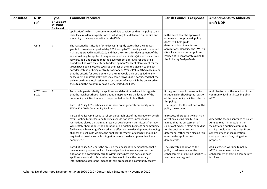| <b>Consultee</b> | <b>NDP</b><br>ref    | <b>Type</b><br>$C = Comment$<br>$O = Object$<br>$S = Support$ | <b>Comment received</b>                                                                                                                                                                                                                                                                                                                                                                                                                                                                                                                                                                                                                                                                                                                                                                                                                                                                                                                                            | <b>Parish Council's response</b>                                                                                                                                                                                                                                 | <b>Amendments to Abberley</b><br>draft NDP                                                                                                                                                                                                  |
|------------------|----------------------|---------------------------------------------------------------|--------------------------------------------------------------------------------------------------------------------------------------------------------------------------------------------------------------------------------------------------------------------------------------------------------------------------------------------------------------------------------------------------------------------------------------------------------------------------------------------------------------------------------------------------------------------------------------------------------------------------------------------------------------------------------------------------------------------------------------------------------------------------------------------------------------------------------------------------------------------------------------------------------------------------------------------------------------------|------------------------------------------------------------------------------------------------------------------------------------------------------------------------------------------------------------------------------------------------------------------|---------------------------------------------------------------------------------------------------------------------------------------------------------------------------------------------------------------------------------------------|
|                  |                      |                                                               | application(s) which may come forward, it is considered that the policy could<br>raise local residents expectations of what might be delivered on the site and<br>the policy may have a very limited shelf life.                                                                                                                                                                                                                                                                                                                                                                                                                                                                                                                                                                                                                                                                                                                                                   | In the event that the approved<br>schemes do not proceed, policy<br>ABY11 will help guide                                                                                                                                                                        |                                                                                                                                                                                                                                             |
|                  | ABY5                 | C                                                             | The reasoned justification for Policy ABY5 rightly states that the site was<br>granted consent on appeal in May 2016 for up to 25 dwellings, with reserved<br>matters approved in April 2020, and that the criteria for development of the<br>site would only be applied to any subsequent application(s) which may come<br>forward. It is understood that the development approved for this site is<br>broadly in line with the criteria for development/concept plan except for the<br>green space being located towards the rear of the site adjacent to the bat<br>corridor instead of being centrally positioned. Whilst Policy ABY5 makes clear<br>that the criteria for development of the site would only be applied to any<br>subsequent application(s) which may come forward, it is considered that the<br>policy could raise local residents expectations of what might be delivered on<br>the site and the policy may have a very limited shelf life. | determination of any future<br>applications, alongside the SWDP's<br>site allocation and other policies.<br>Policy ABY11 incorporates a link to<br>the Abberley Design Guide.                                                                                    |                                                                                                                                                                                                                                             |
|                  | ABY6, para.<br>5.19. | $\mathsf C$                                                   | To provide greater clarity for applicants and decision makers it is suggested<br>that the Neighbourhood Plan includes a map showing the location of the<br>community facilities that are to be protected under Policy ABY6.<br>Part 1 of Policy ABY6 echoes, and is therefore in general conformity with,<br>SWDP 37B (Built Community Facilities).                                                                                                                                                                                                                                                                                                                                                                                                                                                                                                                                                                                                                | It is agreed it would be useful to<br>include a plan showing the location<br>of the community facilities listed in<br>this policy.<br>The support for the first part of the<br>policy is welcomed.                                                               | Add plan to show the location of the<br>community facilities listed in policy<br>ABY6.                                                                                                                                                      |
|                  |                      |                                                               | Part 2 of Policy ABY6 seeks to reflect paragraph 182 of the Framework which<br>says "Existing businesses and facilities should not have unreasonable<br>restrictions placed on them as a result of development permitted after they<br>were established. Where the operation of an existing business or community<br>facility could have a significant adverse effect on new development (including<br>changes of use) in its vicinity, the applicant (or 'agent of change') should be<br>required to provide suitable mitigation before the development has been<br>completed."                                                                                                                                                                                                                                                                                                                                                                                   | In respect of proposals which may<br>affect an existing facility, it is<br>agreed that the assessment of<br>significant adverse effect should be<br>for the decision maker to<br>determine, rather than placing this<br>onus on the applicant to<br>demonstrate. | Amend the second sentence of policy<br>ABY6 to read: "Proposals in the<br>vicinity of an existing community<br>facility should not have a significant<br>adverse effect on its operation,<br>taking account of any mitigation<br>proposed." |
|                  |                      |                                                               | Part 3 of Policy ABY6 puts the onus on the applicant to demonstrate that a<br>development proposal will not have a significant adverse impact on the<br>operation of a community facility within its vicinity. It is not clear how<br>applicants would do this or whether they would have the necessary<br>information to assess the impact of their proposal on a community facility.                                                                                                                                                                                                                                                                                                                                                                                                                                                                                                                                                                             | The suggested addition to the<br>policy to address new or the<br>enhancement of existing facilities is<br>welcomed and agreed.                                                                                                                                   | Add suggested wording to policy<br>ABY6 to cover new or the<br>enhancement of existing community<br>facilities.                                                                                                                             |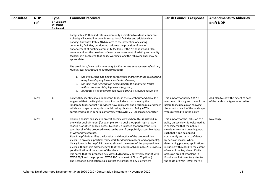| <b>Consultee</b> | <b>NDP</b><br>ref | <b>Type</b><br>$C = Comment$<br>$O = Object$<br>$S = Support$ | <b>Comment received</b>                                                                                                                                                                                                                                                                                                                                                                                                                                                                                                                                                                                                                                                                                                                                                                                                                                                                                                                                                    | <b>Parish Council's response</b>                                                                                                                                                                                                                                                                                                                                                                                                                                              | <b>Amendments to Abberley</b><br>draft NDP                                 |
|------------------|-------------------|---------------------------------------------------------------|----------------------------------------------------------------------------------------------------------------------------------------------------------------------------------------------------------------------------------------------------------------------------------------------------------------------------------------------------------------------------------------------------------------------------------------------------------------------------------------------------------------------------------------------------------------------------------------------------------------------------------------------------------------------------------------------------------------------------------------------------------------------------------------------------------------------------------------------------------------------------------------------------------------------------------------------------------------------------|-------------------------------------------------------------------------------------------------------------------------------------------------------------------------------------------------------------------------------------------------------------------------------------------------------------------------------------------------------------------------------------------------------------------------------------------------------------------------------|----------------------------------------------------------------------------|
|                  |                   |                                                               | Paragraph 5.19 then indicates a community aspiration to extend / enhance<br>Abberley Village Hall to provide recreational facilities and additional car<br>parking. Currently, Policy ABY6 relates to the protection of existing<br>community facilities, but does not address the provision of new or<br>enhancement of existing community facilities. If the Neighbourhood Plan<br>were to address the provision of new or enhancement of existing community<br>facilities it is suggested that policy wording along the following lines may be<br>appropriate:<br>The provision of new built community facilities or the enhancement of existing                                                                                                                                                                                                                                                                                                                        |                                                                                                                                                                                                                                                                                                                                                                                                                                                                               |                                                                            |
|                  |                   |                                                               | facilities will be required to demonstrate that:<br>1. the siting, scale and design respects the character of the surrounding<br>area, including any historic and natural assets;<br>the local road network can accommodate the additional traffic<br>2.<br>without compromising highway safety, and;<br>adequate off-road vehicle and cycle parking is provided on the site.<br>3.                                                                                                                                                                                                                                                                                                                                                                                                                                                                                                                                                                                        |                                                                                                                                                                                                                                                                                                                                                                                                                                                                               |                                                                            |
|                  | ABY7              | C                                                             | Policy ABY7 identifies four Landscape Types in the Neighbourhood Area. It is<br>suggested that the Neighbourhood Plan includes a map showing the<br>landscape types so that it is evident how applicants and decision makers know<br>which landscape types apply to individual applications. Policy AB7 is<br>considered to be in general conformity with SWDP 25 (Landscape Character).                                                                                                                                                                                                                                                                                                                                                                                                                                                                                                                                                                                   | This support for policy ABY7 is<br>welcomed. It is agreed it would be<br>useful to include a plan showing<br>the extent of each of the landscape<br>types referred to in the policy.                                                                                                                                                                                                                                                                                          | Add plan to show the extent of each<br>of the landscape types referred to. |
|                  | ABY8              | C                                                             | Planning policies can seek to protect specific views where this is justified in<br>the wider public interest (for example from a public footpath, right of way,<br>roadside, or other publicly accessible land). It is noted that paragraph 6.10<br>says that all of the proposed views can be seen from publicly-accessible rights<br>of way and viewpoints.<br>Plan 5 helpfully identifies the location and direction of the proposed Key<br>Views. To provide a practical framework for decision makers (and applicants),<br>ideally it would be helpful if the map showed the extent of the proposed Key<br>Views, although it is acknowledged that the photographs on page 28 provide a<br>good indication of the extent of the views.<br>It is noted that the proposed Key Views KV8 and KV5 potentially conflict with<br>SWDP 59/1 and the proposed SWDP 100 (land east of Clows Top Road).<br>The Reasoned Justification explains that the proposed Key Views were | This support for the inclusion of a<br>policy on key views is welcomed. It<br>is considered that the policy is<br>clearly written and unambiguous,<br>such that it can be applied<br>consistently and with confidence<br>by decision makers when<br>determining planning applications,<br>including with regard to the extent<br>of each of the key views. KV8 is<br>across an area of woodland (a<br>Priority Habitat Inventory site) to<br>the south of SWDP 59/1; there is | No change.                                                                 |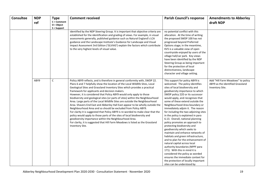| <b>Consultee</b> | <b>NDP</b><br>ref | <b>Type</b><br>$C = Comment$<br>$O = Object$<br>$S = Support$ | <b>Comment received</b>                                                                                                                                                                                                                                                                                                                                                                                                                                                                                                                                                                                                                                                                                                                                                                                                                                                                                                                                                                                              | <b>Parish Council's response</b>                                                                                                                                                                                                                                                                                                                                                                                                                                                                                                                                                                                                                                                                                                                                                                                                                                                                                 | <b>Amendments to Abberley</b><br>draft NDP                                               |
|------------------|-------------------|---------------------------------------------------------------|----------------------------------------------------------------------------------------------------------------------------------------------------------------------------------------------------------------------------------------------------------------------------------------------------------------------------------------------------------------------------------------------------------------------------------------------------------------------------------------------------------------------------------------------------------------------------------------------------------------------------------------------------------------------------------------------------------------------------------------------------------------------------------------------------------------------------------------------------------------------------------------------------------------------------------------------------------------------------------------------------------------------|------------------------------------------------------------------------------------------------------------------------------------------------------------------------------------------------------------------------------------------------------------------------------------------------------------------------------------------------------------------------------------------------------------------------------------------------------------------------------------------------------------------------------------------------------------------------------------------------------------------------------------------------------------------------------------------------------------------------------------------------------------------------------------------------------------------------------------------------------------------------------------------------------------------|------------------------------------------------------------------------------------------|
|                  |                   |                                                               | identified by the NDP Steering Group. It is important that objective criteria are<br>established for the identification and grading of views. For example, in visual<br>assessments generally, published guidance such as Natural England's LCA<br>guidance and the Landscape Institute's Guidance for Landscape and Visual<br>Impact Assessment 3rd Edition ('GLVIA3') explain the factors which contribute<br>to the very highest levels of visual value.                                                                                                                                                                                                                                                                                                                                                                                                                                                                                                                                                          | no potential conflict with this<br>allocation. At the time of writing<br>the proposed SWDP 100 has not<br>progressed beyond Preferred<br>Options stage; in the meantime,<br>KV5 is a valuable view of open<br>countryside enjoyed by users of the<br>village hall/car park. Key views<br>have been identified by the NDP<br>Steering Group as being important<br>for the protection of local<br>distinctiveness, landscape<br>character and village setting.                                                                                                                                                                                                                                                                                                                                                                                                                                                     |                                                                                          |
|                  | ABY9              | $\mathsf C$                                                   | Policy ABY9 reflects, and is therefore in general conformity with, SWDP 22.<br>Plans 6 and 7 helpfully show the location of the Local Wildlife Sites, Local<br>Geological Sites and Grassland Inventory Sites which provides a practical<br>framework for applicants and decision makers.<br>However, it is considered that Policy ABY9 would only apply to those<br>biodiversity and geological sites (or parts of sites) within the Neighbourhood<br>Area. Large parts of the Local Wildlife Sites are outside the Neighbourhood<br>Area. Shavers End East and Abberley Hall East appear to be wholly outside the<br>Neighbourhood Area and so should be excluded from Policy ABY9.<br>For clarity it is suggested that Policy ABY9 is re-worded to make clear that the<br>policy would apply to those parts of the sites of local biodiversity and<br>geodiversity importance within the Neighbourhood Area.<br>For clarity, it is suggested that Hill Farm Meadows is listed as the Grassland<br>Inventory Site. | This support for policy ABY9 is<br>welcomed. The policy identifies<br>sites of local biodiversity and<br>geodiversity importance to which<br>SWDP policy 22D or its successor<br>would apply, and recognises that<br>some of these extend outside the<br>Neighbourhood Area boundary or<br>immediately adjoin it. The reason<br>for including the two adjoining sites<br>in the policy is explained in para<br>6.13. Overall, national planning<br>policy promotes an approach to<br>protecting biodiversity and<br>geodiversity which seeks to<br>maintain and enhance networks of<br>habitats and green infrastructure,<br>and to plan for the enhancement of<br>natural capital across local<br>authority boundaries (NPPF para<br>171). With this in mind it is<br>considered the policy as worded<br>ensures the immediate context for<br>the protection of locally important<br>sites can be understood by | Add "Hill Farm Meadows" to policy<br>ABY9 as the identified Grassland<br>Inventory Site. |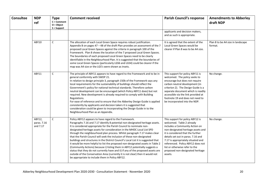| <b>Consultee</b> | <b>NDP</b><br>ref                 | <b>Type</b><br>$C = Comment$<br>$O = Object$<br>$S = Support$ | <b>Comment received</b>                                                                                                                                                                                                                                                                                                                                                                                                                                                                                                                                                                                                                                                                                                                                                                                                                                                                                                           | <b>Parish Council's response</b>                                                                                                                                                                                                                                                                                                                                             | <b>Amendments to Abberley</b><br>draft NDP   |
|------------------|-----------------------------------|---------------------------------------------------------------|-----------------------------------------------------------------------------------------------------------------------------------------------------------------------------------------------------------------------------------------------------------------------------------------------------------------------------------------------------------------------------------------------------------------------------------------------------------------------------------------------------------------------------------------------------------------------------------------------------------------------------------------------------------------------------------------------------------------------------------------------------------------------------------------------------------------------------------------------------------------------------------------------------------------------------------|------------------------------------------------------------------------------------------------------------------------------------------------------------------------------------------------------------------------------------------------------------------------------------------------------------------------------------------------------------------------------|----------------------------------------------|
|                  |                                   |                                                               |                                                                                                                                                                                                                                                                                                                                                                                                                                                                                                                                                                                                                                                                                                                                                                                                                                                                                                                                   | applicants and decision makers,<br>and as such is appropriate.                                                                                                                                                                                                                                                                                                               |                                              |
|                  | ABY10                             | $\mathsf C$                                                   | The allocation of each Local Green Space requires robust justification.<br>Appendix B on pages 47 - 48 of the draft Plan provides an assessment of the 7<br>proposed Local Green Spaces against the criteria in paragraph 100 of the<br>Framework. Plan 8 shows the location of the 7 proposed Local Green Spaces.<br>The boundaries of each proposed Local Green Spaces need to be clearly<br>identifiable in the Neighbourhood Plan. It is suggested that the boundaries of<br>some Local Green Spaces (particularly LGS6 and LGS4) could be clearer if the<br>map was A4 size or the LGS's were shown as insets.                                                                                                                                                                                                                                                                                                               | It is agreed that the extent of the<br>Local Green Spaces would be<br>clearer if Plan 8 was to be A4 size.                                                                                                                                                                                                                                                                   | Plan 8 to be A4 size in landscape<br>format. |
|                  | ABY11                             | $\mathsf{C}$                                                  | The principle of ABY11 appears to have regard to the Framework and to be in<br>general conformity with SWDP 21.<br>In relation to design principle 3, paragraph 150b of the Framework says any<br>local requirements for the sustainability of buildings should reflect the<br>Government's policy for national technical standards. Therefore carbon<br>neutral development can be encouraged (which Policy ABY11 does) but not<br>required. New development is already required to comply with Building<br>Regulations.<br>For ease of reference and to ensure that the Abberley Design Guide is applied<br>consistently by applicants and decision takers it is suggested that<br>consideration could be given to incorporating the Design Guide in to the<br>Neighbourhood Plan as an Appendix.                                                                                                                               | This support for policy ABY11 is<br>welcomed. The policy seeks to<br>encourage but does not require<br>carbon neutral development (in<br>criterion 2). The Design Guide is a<br>separate document which is readily<br>accessible via the link provided at<br>footnote 19 and does not need to<br>be incorporated into the NDP.                                               | No change.                                   |
|                  | ABY12.<br>paras. 7.16<br>and 7.17 | $\mathsf{C}$                                                  | Policy ABY12 appears to have regard to the Framework.<br>Paragraphs 7.16 and 7.17 identify 8 potential non-designated heritage assets.<br>It is considered appropriate for the Parish Council to nominate non-<br>designated heritage assets for consideration in the MHDC Local List SPD<br>through the neighbourhood plan process. Whilst paragraph 7.17 makes clear<br>that the Parish Council will seek the inclusion of these non-designated<br>buildings and structures in the District Council's Local List it is suggested that<br>it would be more helpful to list the proposed non-designated assets in Table 2<br>(Community Actions) because i) listing them in ABY12 potentially suggests a<br>status that they do not currently have and ii) if any of the proposed assets are<br>outside of the Conservation Area (currently it is not clear) then it would not<br>be appropriate to include them in Policy ABY12. | This support for policy ABY12 is<br>welcomed. Table 2 already<br>includes a Community Action on<br>non-designated heritage assets and<br>it is considered that the further<br>details set out in paras. 7.16 and<br>7.17 is appropriately situated and<br>referenced. Policy ABY12 does not<br>list or otherwise refer to the<br>proposed non-designated heritage<br>assets. | No change.                                   |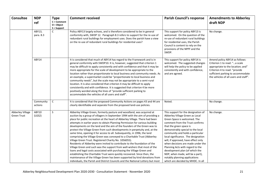| <b>Consultee</b>                       | <b>NDP</b><br>ref    | <b>Type</b><br>$C = Comment$<br>$O = Object$<br>$S = Support$ | <b>Comment received</b>                                                                                                                                                                                                                                                                                                                                                                                                                                                                                                                                                                                                                                                                                                                                                                                                                                                                                                                                                                                                                                                                                                                                                               | <b>Parish Council's response</b>                                                                                                                                                                                                                                                                                                                                                                                                                                                                                                                 | <b>Amendments to Abberley</b><br>draft NDP                                                                                                                                                                          |
|----------------------------------------|----------------------|---------------------------------------------------------------|---------------------------------------------------------------------------------------------------------------------------------------------------------------------------------------------------------------------------------------------------------------------------------------------------------------------------------------------------------------------------------------------------------------------------------------------------------------------------------------------------------------------------------------------------------------------------------------------------------------------------------------------------------------------------------------------------------------------------------------------------------------------------------------------------------------------------------------------------------------------------------------------------------------------------------------------------------------------------------------------------------------------------------------------------------------------------------------------------------------------------------------------------------------------------------------|--------------------------------------------------------------------------------------------------------------------------------------------------------------------------------------------------------------------------------------------------------------------------------------------------------------------------------------------------------------------------------------------------------------------------------------------------------------------------------------------------------------------------------------------------|---------------------------------------------------------------------------------------------------------------------------------------------------------------------------------------------------------------------|
|                                        | ABY13,<br>para. 8.3  | $\mathsf{C}$                                                  | Policy ABY13 largely echoes, and is therefore considered to be in general<br>conformity with, SWDP 12. Paragraph 8.3 refers to support for the re-use of<br>redundant rural buildings for employment uses. Does the parish have a view<br>on the re-use of redundant rural buildings for residential uses?                                                                                                                                                                                                                                                                                                                                                                                                                                                                                                                                                                                                                                                                                                                                                                                                                                                                            | This support for policy ABY13 is<br>welcomed. On the question of the<br>re-use of redundant rural buildings<br>for residential uses, the Parish<br>Council is content to rely on the<br>provisions of the NPPF and the<br>SWDP.                                                                                                                                                                                                                                                                                                                  | No change.                                                                                                                                                                                                          |
|                                        | ABY14                |                                                               | It is considered that much of ABY14 has regard to the Framework and is in<br>general conformity with SWDP10. It is, however, suggested that criterion 1<br>may be difficult to apply consistently and with confidence and that it may be<br>more appropriate for the scale of development to be appropriate to the<br>location rather than proportionate to local business and community needs. As<br>an example, a supermarket could be "proportionate to local business and<br>community needs", but the scale may not be appropriate to a semi-rural<br>location. It is also considered that criterion 4 may be difficult to apply<br>consistently and with confidence. It is suggested that criterion 4 be more<br>positively worded along the lines of "provide sufficient parking to<br>accommodate the vehicles of all users and staff".                                                                                                                                                                                                                                                                                                                                       | This support for policy ABY14 is<br>welcomed. The suggested changes<br>will help the policy to be applied<br>consistently and with confidence,<br>and are agreed.                                                                                                                                                                                                                                                                                                                                                                                | Amend policy ABY14 as follows:<br>Criterion 1 to read: "a scale<br>appropriate to the location; and"<br>Criterion 4 to read: "provide<br>sufficient parking to accommodate<br>the vehicles of all users and staff". |
|                                        | Community<br>actions | $\mathsf C$                                                   | It is considered that the proposed Community Actions on pages 43 and 44 are<br>clearly identifiable and separate from the proposed land-use policies.                                                                                                                                                                                                                                                                                                                                                                                                                                                                                                                                                                                                                                                                                                                                                                                                                                                                                                                                                                                                                                 | Noted.                                                                                                                                                                                                                                                                                                                                                                                                                                                                                                                                           | No change.                                                                                                                                                                                                          |
| Abberley Village<br><b>Green Trust</b> | ABY10<br>(LGS2)      | S                                                             | Abberley Village Green, formerly pasture and woodland, was acquired at<br>auction by a group of villagers in September 1994 with the aim of providing a<br>place for public recreation at the heart of Abberley Village. There had been<br>attempts in earlier years to obtain Planning Permission for various building<br>developments on the land and the aim of the founders of the Green was to<br>protect the Village Green from such developments in perpetuity and, at the<br>same time, opening it for access to all. Subsequently, in 1996, the land<br>comprising the Village Green was conveyed to a Charitable Trust (Abberley<br>Village Green Trust. Registered Charity No. 1056055).<br>Residents of Abberley were invited to contribute to the foundation of the<br>Village Green and such was the support from well-wishers that most of the<br>loans and legal costs associated with purchasing the Village Green and<br>establishing the Charitable Trust were quickly recovered. Since then, the<br>maintenance of the Village Green has been supported by kind donations from<br>individuals, the Parish and District Councils and the National Lottery but most | This support for the designation of<br>Abberley Village Green as Local<br>Green Space is welcomed. The<br>comment from the Trust confirms<br>that the green space is<br>demonstrably special to the local<br>community and holds a particular<br>local significance. The designation<br>will, if approved, have effect only<br>when decisions are made under the<br>Planning Acts with regard to the<br>development plan (of which the<br>NDP, when made, will be a part),<br>notably planning applications<br>which are decided by MHDC. In all | No change.                                                                                                                                                                                                          |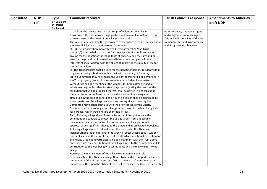| Consultee | <b>NDP</b><br>ref | <b>Type</b><br>$C = Comment$<br>$O = Object$ | <b>Comment received</b>                                                                                                                                                                                                                                                                                                                                                                                                                                                                                                                                                                                                                                                                                                                                                                                                                                                                                                                                                                                                                                                                                                                                                                                                                                                                                                                                                                                                                                                                                                                                                                                                                                                                                                                                                                                                                                                                                                                                                                                                                                                                                                                                                                                                                                                                                                                      | <b>Parish Council's response</b>                                                                                                                                                   | <b>Amendments to Abberley</b><br>draft NDP |
|-----------|-------------------|----------------------------------------------|----------------------------------------------------------------------------------------------------------------------------------------------------------------------------------------------------------------------------------------------------------------------------------------------------------------------------------------------------------------------------------------------------------------------------------------------------------------------------------------------------------------------------------------------------------------------------------------------------------------------------------------------------------------------------------------------------------------------------------------------------------------------------------------------------------------------------------------------------------------------------------------------------------------------------------------------------------------------------------------------------------------------------------------------------------------------------------------------------------------------------------------------------------------------------------------------------------------------------------------------------------------------------------------------------------------------------------------------------------------------------------------------------------------------------------------------------------------------------------------------------------------------------------------------------------------------------------------------------------------------------------------------------------------------------------------------------------------------------------------------------------------------------------------------------------------------------------------------------------------------------------------------------------------------------------------------------------------------------------------------------------------------------------------------------------------------------------------------------------------------------------------------------------------------------------------------------------------------------------------------------------------------------------------------------------------------------------------------|------------------------------------------------------------------------------------------------------------------------------------------------------------------------------------|--------------------------------------------|
|           |                   | $S = Support$                                |                                                                                                                                                                                                                                                                                                                                                                                                                                                                                                                                                                                                                                                                                                                                                                                                                                                                                                                                                                                                                                                                                                                                                                                                                                                                                                                                                                                                                                                                                                                                                                                                                                                                                                                                                                                                                                                                                                                                                                                                                                                                                                                                                                                                                                                                                                                                              |                                                                                                                                                                                    |                                            |
|           |                   |                                              | of all, from the tireless devotion of groups of volunteers who have<br>transformed the Green from rough pasture and unkempt woodland, to this<br>priceless asset at the heart of our village, open to all.<br>The key to understanding the governance of the Village Green is made clear in<br>the Second Schedule to its Governing Document:<br>(1) (a) The property herein transferred (hereinafter called "the Trust<br>property") shall be held upon trust for the purposes of a public recreation<br>ground for the benefit of the inhabitants of Abberley and the surrounding<br>area for the provision of recreation and leisure time occupation in the<br>interests of social welfare with the object of improving the quality of life for<br>the said inhabitants<br>(b) The Trust property shall be used for the benefit of persons resident within<br>or persons having a business within the Parish boundary of Abberley<br>(c) The Committee may not change the use of the freehold land comprised in<br>the Trust property (except in the case of minor or insignificant matters)<br>without first calling a meeting of the Villagers (as hereinafter defined) at<br>which meeting not less than fourteen days notice (stating the terms of the<br>resolution that will be proposed thereat) shall be posted in a conspicuous<br>place or places on the Trust property and advertised in a newspaper<br>circulating in the area of benefit and if such a decision shall be confirmed by<br>three quarters of the Villagers present and voting at such meeting the<br>Committee may change such use with the prior consent of the Charity<br>Commissioners and so long as no change would result in the land being held<br>for purposes which would not be charitable in law.<br>Thus, Abberley Village Green Trust believes that it has put in place the<br>conditions and controls to protect the Village Green from undesirable<br>development and a mechanism for consultation and local democratic<br>approval of any significant change to the Green and its associated woodland.<br>Abberley Village Green Trust welcomes the proposal in the Abberley<br>Neighbourhood Plan to designate the Green a "Local Green Space". Whilst it<br>does not seem, in the view of the Trust, to afford any additional protection for | other respects, landowner rights<br>and obligations are unchanged.<br>This includes the ability of the Trust<br>to manage the land in accordance<br>with its governing objectives. |                                            |
|           |                   |                                              | the Village Green, it nevertheless is in good alignment with the Trust's aims                                                                                                                                                                                                                                                                                                                                                                                                                                                                                                                                                                                                                                                                                                                                                                                                                                                                                                                                                                                                                                                                                                                                                                                                                                                                                                                                                                                                                                                                                                                                                                                                                                                                                                                                                                                                                                                                                                                                                                                                                                                                                                                                                                                                                                                                |                                                                                                                                                                                    |                                            |
|           |                   |                                              | and underlines the contribution of the Village Green to the community and its<br>contribution to the well-being of local residents and the many visitors to our                                                                                                                                                                                                                                                                                                                                                                                                                                                                                                                                                                                                                                                                                                                                                                                                                                                                                                                                                                                                                                                                                                                                                                                                                                                                                                                                                                                                                                                                                                                                                                                                                                                                                                                                                                                                                                                                                                                                                                                                                                                                                                                                                                              |                                                                                                                                                                                    |                                            |
|           |                   |                                              | village.                                                                                                                                                                                                                                                                                                                                                                                                                                                                                                                                                                                                                                                                                                                                                                                                                                                                                                                                                                                                                                                                                                                                                                                                                                                                                                                                                                                                                                                                                                                                                                                                                                                                                                                                                                                                                                                                                                                                                                                                                                                                                                                                                                                                                                                                                                                                     |                                                                                                                                                                                    |                                            |
|           |                   |                                              | However, the management of the Village Green remains the sole                                                                                                                                                                                                                                                                                                                                                                                                                                                                                                                                                                                                                                                                                                                                                                                                                                                                                                                                                                                                                                                                                                                                                                                                                                                                                                                                                                                                                                                                                                                                                                                                                                                                                                                                                                                                                                                                                                                                                                                                                                                                                                                                                                                                                                                                                |                                                                                                                                                                                    |                                            |
|           |                   |                                              | responsibility of the Abberley Village Green Trust and our support for the                                                                                                                                                                                                                                                                                                                                                                                                                                                                                                                                                                                                                                                                                                                                                                                                                                                                                                                                                                                                                                                                                                                                                                                                                                                                                                                                                                                                                                                                                                                                                                                                                                                                                                                                                                                                                                                                                                                                                                                                                                                                                                                                                                                                                                                                   |                                                                                                                                                                                    |                                            |
|           |                   |                                              | designation of the Village Green as a "Local Green Space" must in no way                                                                                                                                                                                                                                                                                                                                                                                                                                                                                                                                                                                                                                                                                                                                                                                                                                                                                                                                                                                                                                                                                                                                                                                                                                                                                                                                                                                                                                                                                                                                                                                                                                                                                                                                                                                                                                                                                                                                                                                                                                                                                                                                                                                                                                                                     |                                                                                                                                                                                    |                                            |
|           |                   |                                              | impact upon the upon the ability of the Trust to manage the Green in line with                                                                                                                                                                                                                                                                                                                                                                                                                                                                                                                                                                                                                                                                                                                                                                                                                                                                                                                                                                                                                                                                                                                                                                                                                                                                                                                                                                                                                                                                                                                                                                                                                                                                                                                                                                                                                                                                                                                                                                                                                                                                                                                                                                                                                                                               |                                                                                                                                                                                    |                                            |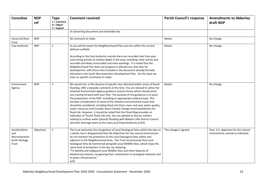| Consultee                                                         | <b>NDP</b><br>ref | <b>Type</b><br>C = Comment<br>$O = Object$<br>$S = Support$ | <b>Comment received</b>                                                                                                                                                                                                                                                                                                                                                                                                                                                                                                                                                                                                                                                                                                                                                                                                                                                                                                                                             | <b>Parish Council's response</b> | <b>Amendments to Abberley</b><br>draft NDP                                |
|-------------------------------------------------------------------|-------------------|-------------------------------------------------------------|---------------------------------------------------------------------------------------------------------------------------------------------------------------------------------------------------------------------------------------------------------------------------------------------------------------------------------------------------------------------------------------------------------------------------------------------------------------------------------------------------------------------------------------------------------------------------------------------------------------------------------------------------------------------------------------------------------------------------------------------------------------------------------------------------------------------------------------------------------------------------------------------------------------------------------------------------------------------|----------------------------------|---------------------------------------------------------------------------|
|                                                                   |                   |                                                             | its Governing Document and charitable law.                                                                                                                                                                                                                                                                                                                                                                                                                                                                                                                                                                                                                                                                                                                                                                                                                                                                                                                          |                                  |                                                                           |
| Canal and River<br>Trust                                          | <b>NDP</b>        |                                                             | No comment to make.                                                                                                                                                                                                                                                                                                                                                                                                                                                                                                                                                                                                                                                                                                                                                                                                                                                                                                                                                 | Noted.                           | No change.                                                                |
| Coal Authority                                                    | <b>NDP</b>        | $\mathsf{C}$                                                | As you will be aware the Neighbourhood Plan area lies within the current<br>defined coalfield.                                                                                                                                                                                                                                                                                                                                                                                                                                                                                                                                                                                                                                                                                                                                                                                                                                                                      | Noted.                           | No change.                                                                |
|                                                                   |                   |                                                             | According to the Coal Authority records there are recorded risks from past<br>coal mining activity at shallow depth in the area, including; mine entries and<br>recorded and likely unrecorded coal mine workings. It is noted that the<br>Neighbourhood Plan does not propose to allocate any new sites for<br>development, with those sites included in the document already formally<br>allocated in the South Worcestershire Development Plan. On this basis we<br>have no specific comments to make.                                                                                                                                                                                                                                                                                                                                                                                                                                                           |                                  |                                                                           |
| Environment<br>Agency                                             | <b>NDP</b>        | $\mathsf C$                                                 | We would not, in the absence of specific sites allocated within areas of fluvial<br>flooding, offer a bespoke comment at this time. You are advised to utilise the<br>attached Environment Agency guidance and pro-forma which should assist<br>you moving forward with your Plan. The purpose of the guidance is to assist<br>the preparation of the NDP, including an appropriate evidence base. This<br>includes consideration of some of the relevant environmental issues that<br>should be considered, including flood risk (from rivers and sea), water quality,<br>water resources and includes latest Climate Change recommendations for<br>flood risk. However, it should be noted that the Flood Map provides an<br>indication of 'fluvial' flood risk only. You are advised to discuss matters<br>relating to surface water (pluvial) flooding with Malvern Hills District Council<br>and their drainage team as the Lead Local Flood Authority (LLFA). | Noted.                           | No change.                                                                |
| Herefordshire<br>and<br>Worcestershire<br>Earth Heritage<br>Trust | Objectives        | $\mathsf C$                                                 | The trust welcomes the recognition of Local Geological Sites within the plan as<br>a whole, but is disappointed that the Objectives for the natural environment<br>do not mention the protection of the Local Geological Sites within and<br>adjacent to the Neighbourhood Area. The Trust recommends that Local<br>Geological Sites be mentioned alongside Local Wildlife Sites, which enjoy the<br>same level of protection in the law, by replacing:<br>"To identify and safeguard Local Wildlife Sites and other features of<br>biodiversity interest, recognising their contribution to ecological networks and<br>to green infrastructure."<br>with                                                                                                                                                                                                                                                                                                           | This change is agreed.           | Para. 3.2, objectives for the natural<br>environment, amend as indicated. |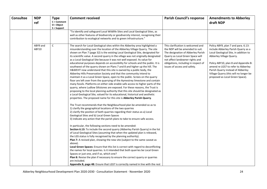| <b>Consultee</b> | <b>NDP</b><br>ref | <b>Type</b><br>$C = Comment$<br>$O = Object$<br>S = Support | <b>Comment received</b>                                                                                                                                                                                                                                                                                                                                                                                                                                                                                                                                                                                                                                                                                                                                                                                                                                                                                                                                                                                                                                                                                                                                                                                                                                                                                                                                                                                                                                                                                                                                                                                                                                                                                                                                                                                                                                                                                                                                                                                                                                                                                                                                                                                                                                                                                                                                                                                                                                                   | <b>Parish Council's response</b>                                                                                                                                                                                                                            | <b>Amendments to Abberley</b><br>draft NDP                                                                                                                                                                                                                                                                                                      |
|------------------|-------------------|-------------------------------------------------------------|---------------------------------------------------------------------------------------------------------------------------------------------------------------------------------------------------------------------------------------------------------------------------------------------------------------------------------------------------------------------------------------------------------------------------------------------------------------------------------------------------------------------------------------------------------------------------------------------------------------------------------------------------------------------------------------------------------------------------------------------------------------------------------------------------------------------------------------------------------------------------------------------------------------------------------------------------------------------------------------------------------------------------------------------------------------------------------------------------------------------------------------------------------------------------------------------------------------------------------------------------------------------------------------------------------------------------------------------------------------------------------------------------------------------------------------------------------------------------------------------------------------------------------------------------------------------------------------------------------------------------------------------------------------------------------------------------------------------------------------------------------------------------------------------------------------------------------------------------------------------------------------------------------------------------------------------------------------------------------------------------------------------------------------------------------------------------------------------------------------------------------------------------------------------------------------------------------------------------------------------------------------------------------------------------------------------------------------------------------------------------------------------------------------------------------------------------------------------------|-------------------------------------------------------------------------------------------------------------------------------------------------------------------------------------------------------------------------------------------------------------|-------------------------------------------------------------------------------------------------------------------------------------------------------------------------------------------------------------------------------------------------------------------------------------------------------------------------------------------------|
|                  |                   |                                                             | "To identify and safeguard Local Wildlife Sites and Local Geological Sites, as<br>well as other features of biodiversity or geodiversity interest, recognising their<br>contribution to ecological networks and to green infrastructure."                                                                                                                                                                                                                                                                                                                                                                                                                                                                                                                                                                                                                                                                                                                                                                                                                                                                                                                                                                                                                                                                                                                                                                                                                                                                                                                                                                                                                                                                                                                                                                                                                                                                                                                                                                                                                                                                                                                                                                                                                                                                                                                                                                                                                                 |                                                                                                                                                                                                                                                             |                                                                                                                                                                                                                                                                                                                                                 |
|                  | ABY9 and<br>ABY10 | $\mathsf{C}$                                                | The search for Local Geological sites within the Abberley area highlighted a<br>misunderstanding over the location of the Abberley Village Quarry. The site<br>shown on Plan 7 (page 32) is the existing Local Geological Site, designated for<br>its scientific value. A second quarry in the village was not originally designated<br>as a Local Geological Site because it was not well exposed. Its value for<br>educational purposes depends on accessibility for schools and the public. It is<br>southwest of the quarry shown on Plans 7 and 8 and higher up the hill. The<br>H&WEHT now understand that this site is owned by a public body, the<br>Abberley Hills Preservation Society and that the community intend to<br>maintain it as a Local Green Space, open to the public. Screes on the quarry<br>floor are left over from the quarrying of the Aymestrey limestone and contain<br>many fossils. Platforms on either side enable safe access to higher parts of the<br>quarry, where Ludlow Siltstones are exposed. For these reasons, the Trust is<br>proposing to the local planning authority that this site should be designated as<br>a Local Geological Site, valued for its educational, historical and aesthetic<br>properties. The proposed name for this site is Abberley Parish Quarry.<br>The Trust recommends that the Neighbourhood plan be amended so as to<br>1) clarify the geographical locations of the two quarries<br>2) clarify the position of both quarries regarding their status as a) Local<br>Geological Sites and b) Local Green Spaces<br>3) indicate any action that the parish plans to take to ensure safe access.<br>In particular, the following sections need to be amended:<br>Section 6.13: To include the second quarry (Abberley Parish Quarry) in the list<br>of Local Geological Sites (assuming that when the updated plan is released,<br>the LGS status is fully recognised by the planning authority).<br>Plan 7: A revised plan, showing the new site (subject to the same caveat as<br>above).<br>Local Green Spaces: Ensure that this list is correct with regard to deconflicting<br>the names for local quarries. Is it intended that both quarries be Local Green<br>Spaces or just one, and if so, which one?<br>Plan 8: Revise the plan if necessary to ensure the correct quarry or quarries<br>are included.<br>Appendix B, page 48: Ensure that LGS7 is correctly named in line with the rest | This clarification is welcomed and<br>the NDP will be amended to suit.<br>The designation of Abberley Parish<br>Quarry as Local Green Space will<br>not affect landowner rights and<br>obligations, including in respect of<br>issues of access and safety. | Policy ABY9, plan 7 and para. 6.13:<br>include Abberley Parish Quarry as a<br>Local Geological Site, in addition to<br>Abberley Village Quarry.<br>Policy ABY10, plan 8 and Appendix B:<br>amend re LGS7 to refer to Abberley<br>Parish Quarry instead of Abberley<br>Village Quarry (this will no longer be<br>proposed as Local Green Space). |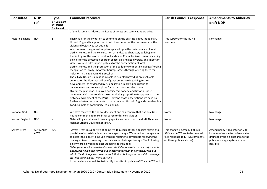| Consultee               | <b>NDP</b><br>ref   | <b>Type</b><br>$C = Comment$<br>$O = Object$<br>$S = Support$ | <b>Comment received</b>                                                                                                                                                                                                                                                                                                                                                                                                                                                                                                                                                                                                                                                                                                                                                                                                                                                                                                                                                                                                                                                                                                                                                                                                                                                                                                                                                                                                                                                             | <b>Parish Council's response</b>                                                                                                   | <b>Amendments to Abberley</b><br>draft NDP                                                                                                                |
|-------------------------|---------------------|---------------------------------------------------------------|-------------------------------------------------------------------------------------------------------------------------------------------------------------------------------------------------------------------------------------------------------------------------------------------------------------------------------------------------------------------------------------------------------------------------------------------------------------------------------------------------------------------------------------------------------------------------------------------------------------------------------------------------------------------------------------------------------------------------------------------------------------------------------------------------------------------------------------------------------------------------------------------------------------------------------------------------------------------------------------------------------------------------------------------------------------------------------------------------------------------------------------------------------------------------------------------------------------------------------------------------------------------------------------------------------------------------------------------------------------------------------------------------------------------------------------------------------------------------------------|------------------------------------------------------------------------------------------------------------------------------------|-----------------------------------------------------------------------------------------------------------------------------------------------------------|
|                         |                     |                                                               | of the document. Address the issues of access and safety as appropriate.                                                                                                                                                                                                                                                                                                                                                                                                                                                                                                                                                                                                                                                                                                                                                                                                                                                                                                                                                                                                                                                                                                                                                                                                                                                                                                                                                                                                            |                                                                                                                                    |                                                                                                                                                           |
| <b>Historic England</b> | <b>NDP</b>          | S                                                             | Thank you for the invitation to comment on the draft Neighbourhood Plan.<br>Historic England is supportive of both the content of the document and the<br>vision and objectives set out in it.<br>We commend the general emphasis placed upon the maintenance of local<br>distinctiveness and the conservation of landscape character, building upon<br>the findings of the Worcestershire Landscape Character Assessment, including<br>policies for the protection of green space, bio and geo diversity and important<br>views. We also fully support policies for the conservation of local<br>distinctiveness and the protection of the built environment including affording<br>recognition to locally important heritage assets through offering them for<br>inclusion in the Malvern Hills Local List.<br>The Village Design Guide is admirable in its detail providing an invaluable<br>context for the Plan that will be of great assistance in guiding future<br>development, as evidenced by its application in providing criteria for<br>development and concept plans for current housing allocations.<br>Overall the plan reads as a well-considered, concise and fit for purpose<br>document which we consider takes a suitably proportionate approach to the<br>historic environment of the Parish. Beyond those observations we have no<br>further substantive comments to make on what Historic England considers is a<br>good example of community led planning. | This support for the NDP is<br>welcome.                                                                                            | No change.                                                                                                                                                |
| <b>National Grid</b>    | <b>NDP</b>          |                                                               | We have reviewed the above document and can confirm that National Grid<br>has no comments to make in response to this consultation.                                                                                                                                                                                                                                                                                                                                                                                                                                                                                                                                                                                                                                                                                                                                                                                                                                                                                                                                                                                                                                                                                                                                                                                                                                                                                                                                                 | Noted.                                                                                                                             | No change.                                                                                                                                                |
| Natural England         | <b>NDP</b>          |                                                               | Natural England does not have any specific comments on the draft Abberley<br>Neighbourhood Development Plan.                                                                                                                                                                                                                                                                                                                                                                                                                                                                                                                                                                                                                                                                                                                                                                                                                                                                                                                                                                                                                                                                                                                                                                                                                                                                                                                                                                        | Noted.                                                                                                                             | No change.                                                                                                                                                |
| Severn Trent            | ABY3, ABY4,<br>ABY5 | S/C                                                           | Severn Trent is supportive of point 7 within each of these policies relating to<br>provision of a sustainable urban drainage strategy. We would encourage you<br>to extent this policy to include wording relating to developers following the<br>drainage hierarchy relating to surface water drainage strategy. The following<br>policy wording would be encouraged to be included:<br>'All applications for new development shall demonstrate that all surface water<br>discharges have been carried out in accordance with the principles laid out<br>within the drainage hierarchy, in such that a discharge to the public sewerage<br>systems are avoided, where possible.'<br>In particular we would like to identify that sites in policies ABY3 and ABY5 look                                                                                                                                                                                                                                                                                                                                                                                                                                                                                                                                                                                                                                                                                                              | This change is agreed. Policies<br>ABY4 and ABY5 are to be deleted<br>(see response to MHDC comments<br>on these policies, above). | Amend policy ABY3 criterion 7 to<br>include reference to surface water<br>drainage avoiding discharge to the<br>public sewerage system where<br>possible. |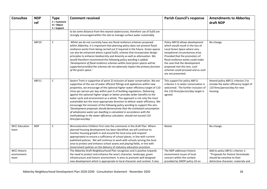| Consultee                                  | <b>NDP</b><br>ref | <b>Type</b><br>$C = Comment$<br>$O = Object$<br>$S = Support$ | <b>Comment received</b>                                                                                                                                                                                                                                                                                                                                                                                                                                                                                                                                                                                                                                                                                                                                                                                                                                                                                           | <b>Parish Council's response</b>                                                                                                                                                                                                                                                                                                            | <b>Amendments to Abberley</b><br>draft NDP                                                                                                     |
|--------------------------------------------|-------------------|---------------------------------------------------------------|-------------------------------------------------------------------------------------------------------------------------------------------------------------------------------------------------------------------------------------------------------------------------------------------------------------------------------------------------------------------------------------------------------------------------------------------------------------------------------------------------------------------------------------------------------------------------------------------------------------------------------------------------------------------------------------------------------------------------------------------------------------------------------------------------------------------------------------------------------------------------------------------------------------------|---------------------------------------------------------------------------------------------------------------------------------------------------------------------------------------------------------------------------------------------------------------------------------------------------------------------------------------------|------------------------------------------------------------------------------------------------------------------------------------------------|
|                                            |                   |                                                               | to be some distance from the nearest watercourse, therefore use of SuDS are<br>strongly encouraged within the site to manage surface water sustainably.                                                                                                                                                                                                                                                                                                                                                                                                                                                                                                                                                                                                                                                                                                                                                           |                                                                                                                                                                                                                                                                                                                                             |                                                                                                                                                |
|                                            | ABY10             | $\mathsf{C}$                                                  | Whilst we do not currently have any flood resilience schemes proposed<br>within Abberley, it is important that planning policy does not prevent flood<br>resilience works from being carried out if required in the future. Green spaces<br>can also be enhanced where a good SuDS, scheme that incorporates design<br>principles to enhance biodiversity and Amenity as well as attenuation. We<br>would therefore recommend the following policy wording is added:<br>'Development of flood resilience schemes within local green spaces will be<br>supported provided the schemes do not adversely impact the primary function<br>of the green space.'                                                                                                                                                                                                                                                         | Policy ABY10 allows development<br>which would result in the loss of<br>Local Green Space where very<br>exceptional circumstances arise.<br>Provided that the promoters of<br>flood resilience works could make<br>the case that the development<br>proposed met this test, such<br>schemes could proceed and as such<br>are not prevented. | No change.                                                                                                                                     |
|                                            | ABY11             | $\mathsf{C}$                                                  | Severn Trent is supportive of point 2) inclusion of water conservation. We are<br>supportive of the use of water efficient fittings and appliances within new<br>properties, we encourage of the optional higher water efficiency target of 110<br>Litres per person per day within part G of building regulations. Delivering<br>against the optional higher target or better provides wider benefits to the<br>water cycle and environment as a whole. This approach is not only the most<br>sustainable but the most appropriate direction to deliver water efficiency. We<br>encourage the inclusion of the following policy wording to support this aim:<br>'Development proposals should demonstrate that the estimated consumption<br>of wholesome water per dwelling is calculated in accordance with the<br>methodology in the water efficiency calculator, should not exceed 110<br>litres/person/day.' | This support for policy ABY11<br>criterion 2 re water conservation is<br>welcomed. The further inclusion of<br>the 110 litres/person/day target is<br>agreed.                                                                                                                                                                               | Amend policy ABY11 criterion 2 to<br>include the water efficiency target of<br>110 litres/person/day for new<br>housing.                       |
| <b>WCC Education</b><br>team               | <b>NDP</b>        | $\mathsf{C}$                                                  | Worcestershire Children First note the comments in the draft Plan. Where<br>planned housing development has been identified, we will continue to<br>monitor housing growth in and around the local area and respond<br>appropriately to ensure a sufficiency of school places, in line with current<br>published policies. We will continue to work with schools serving the local<br>area to protect and enhance school assets and playing fields, in line with<br>Government policies on the delivery of statutory education provision.                                                                                                                                                                                                                                                                                                                                                                         | Noted.                                                                                                                                                                                                                                                                                                                                      | No change.                                                                                                                                     |
| <b>WCC Historic</b><br>environment<br>team |                   |                                                               | The Abberley Draft Neighbourhood Plan recognises and is positive towards<br>the need to protect and enhance the area's character, landscape, green<br>infrastructure and historic environment. It aims to promote well designed<br>new development which is appropriate to local character and context. It also                                                                                                                                                                                                                                                                                                                                                                                                                                                                                                                                                                                                   | The NDP addresses historic<br>environment issues of local<br>concern within the context<br>provided by SWDP policy 24 on                                                                                                                                                                                                                    | Add to policy ABY11 criterion 1:<br>"Proposals for historic farmsteads<br>should be sensitive to their<br>distinctive character, materials and |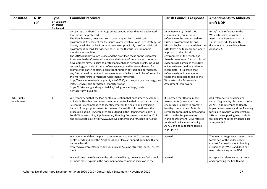| <b>Consultee</b>                 | <b>NDP</b><br>ref | <b>Type</b><br>$C = Comment$<br>$O = Object$<br>$S = Support$ | <b>Comment received</b>                                                                                                                                                                                                                                                                                                                                                                                                                                                                                                                                                                                                                                                                                                                                                                                                                                                                                                                                                                                                                                                                                                                                                                                            | <b>Parish Council's response</b>                                                                                                                                                                                                                                                                                                                                                                                                                                                                                                                        | <b>Amendments to Abberley</b><br>draft NDP                                                                                                                                                                                                                                             |
|----------------------------------|-------------------|---------------------------------------------------------------|--------------------------------------------------------------------------------------------------------------------------------------------------------------------------------------------------------------------------------------------------------------------------------------------------------------------------------------------------------------------------------------------------------------------------------------------------------------------------------------------------------------------------------------------------------------------------------------------------------------------------------------------------------------------------------------------------------------------------------------------------------------------------------------------------------------------------------------------------------------------------------------------------------------------------------------------------------------------------------------------------------------------------------------------------------------------------------------------------------------------------------------------------------------------------------------------------------------------|---------------------------------------------------------------------------------------------------------------------------------------------------------------------------------------------------------------------------------------------------------------------------------------------------------------------------------------------------------------------------------------------------------------------------------------------------------------------------------------------------------------------------------------------------------|----------------------------------------------------------------------------------------------------------------------------------------------------------------------------------------------------------------------------------------------------------------------------------------|
|                                  |                   |                                                               | recognises that there are heritage assets beyond those that are designated,<br>that should be protected.<br>The Plan, however, does not take account - apart from the Historic<br>Environment Assessment for the South Worcestershire Joint Core Strategy - of<br>County Level Historic Environment resources, principally the County Historic<br>Environment Record. Its evidence base for the Historic Environment is<br>therefore incomplete.<br>The 2019 Abberley Design Guide and the draft Plan focus on the Character<br>Areas - Abberley Conservation Area and Abberley Common - and potential<br>development sites. Policies to protect and enhance heritage assets, including<br>archaeology, outside of these defined spaces, could be strengthened, for<br>example the parish contains a significant number of traditional farmsteads,<br>any future development and re-development of which should be informed by<br>the Worcestershire Farmsteads Assessment Framework:<br>http://www.worcestershire.gov.uk/info/20230/archive_and_archaeology_pro<br>jects/1023/historic_farmstead_characterisation<br>https://historicengland.org.uk/advice/caring-for-heritage/rural-<br>heritage/farm-buildings/ | Management of the Historic<br>Environment (this includes<br>reference to the Worcestershire<br>Historic Environment Record).<br>Historic England has stated that the<br>NDP takes a suitably proportionate<br>approach to the historic<br>environment of the Parish, and<br>there is no required 'tick box' list of<br>evidence against which the NDP's<br>evidence base could be said to be<br>incomplete. It is agreed that<br>reference should be made to<br>traditional farmsteads and to the<br>Worcestershire Farmsteads<br>Assessment Framework. | form;". Add reference to the<br>Worcestershire Farmsteads<br>Assessment Framework to the<br>supporting text. Include this<br>document in the evidence base at<br>Appendix A.                                                                                                           |
| <b>WCC Public</b><br>health team |                   | $\mathsf{C}$                                                  | We recommend that the Plan contains a section that encourages developers<br>to include Health Impact Assessment as a key tool in their proposals. An HIA<br>Screening is recommended to identify whether the health and wellbeing<br>impact of the proposal warrants the need for an HIA. Information on the<br>process including HIA templates are outlined in the Planning for Health in<br>South Worcestershire, Supplementary Planning Document adopted in 2017<br>and are available at: http://www.swdevelopmentplan.org/?page_id=13484                                                                                                                                                                                                                                                                                                                                                                                                                                                                                                                                                                                                                                                                       | It is agreed that Health Impact<br>Assessments (HIA) should be<br>encouraged in order to promote<br>healthy communities. Suitable<br>reference to this policy aim, and to<br>HIAs and the Supplementary<br>Planning Document (SPD) referred<br>to, should be included in policy<br>ABY11 and its supporting text as<br>appropriate.                                                                                                                                                                                                                     | Add reference to enabling and<br>supporting healthy lifestyles to policy<br>ABY11. Add reference to Health<br>Impact Assessments and the Planning<br>for Health in South Worcestershire<br>SPD to the supporting text. Include<br>this document in the evidence base<br>at Appendix A. |
|                                  |                   | C                                                             | We recommend that the plan makes reference to the JSNA to assess local<br>health needs and how the Neighbourhood Plan can support good health and<br>improve health.<br>http://www.worcestershire.gov.uk/info/20122/joint_strategic_needs_assess<br>ment.                                                                                                                                                                                                                                                                                                                                                                                                                                                                                                                                                                                                                                                                                                                                                                                                                                                                                                                                                          | Agreed.                                                                                                                                                                                                                                                                                                                                                                                                                                                                                                                                                 | The Joint Strategic Needs Assessment<br>forms part of the wider policy<br>context for development planning<br>including the SWDP, and does not<br>need referencing in the NDP.                                                                                                         |
|                                  |                   | C                                                             | We welcome the reference to health and wellbeing, however we feel it could<br>be made more explicit in the document and recommend inclusion in the                                                                                                                                                                                                                                                                                                                                                                                                                                                                                                                                                                                                                                                                                                                                                                                                                                                                                                                                                                                                                                                                 | Agreed.                                                                                                                                                                                                                                                                                                                                                                                                                                                                                                                                                 | Incorporate reference to sustaining<br>and improving the health and                                                                                                                                                                                                                    |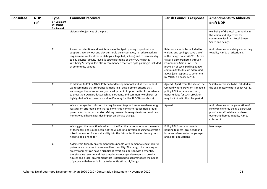| <b>Consultee</b> | <b>NDP</b><br>ref | <b>Type</b><br>$C = Comment$<br>$O = Object$<br>$S = Support$ | <b>Comment received</b>                                                                                                                                                                                                                                                                                                                                                                                                                                      | <b>Parish Council's response</b>                                                                                                                                                                                                                                                                                     | <b>Amendments to Abberley</b><br>draft NDP                                                                                                                         |
|------------------|-------------------|---------------------------------------------------------------|--------------------------------------------------------------------------------------------------------------------------------------------------------------------------------------------------------------------------------------------------------------------------------------------------------------------------------------------------------------------------------------------------------------------------------------------------------------|----------------------------------------------------------------------------------------------------------------------------------------------------------------------------------------------------------------------------------------------------------------------------------------------------------------------|--------------------------------------------------------------------------------------------------------------------------------------------------------------------|
|                  |                   |                                                               | vision and objectives of the plan.                                                                                                                                                                                                                                                                                                                                                                                                                           |                                                                                                                                                                                                                                                                                                                      | wellbeing of the local community in<br>the Vision and objectives for<br>community facilities, Local Green<br>Space and design.                                     |
|                  |                   | $\mathsf C$                                                   | As well as retention and maintenance of footpaths, every opportunity to<br>support travel by foot and bicycle should be encouraged, to reduce parking<br>requirements at local venues (shops, village hall, school) and to increase day<br>to day physical activity levels (a strategic theme of the WCC Health &<br>Wellbeing Strategy). It is also recommended that safe cycle parking is included<br>at community venues.                                 | Reference should be included to<br>walking and cycling (active travel)<br>in the design policy ABY11. Active<br>travel is also promoted through<br>Community Action CA6. The<br>provision of cycle parking at new<br>community facilities is addressed<br>above (see response to comment<br>by MHDC on policy ABY6). | Add reference to walking and cycling<br>to policy ABY11 at criterion 3.                                                                                            |
|                  |                   | $\mathsf C$                                                   | In addition to Policy ABY3: Criteria for development of Land at The Orchard,<br>we recommend that reference is made in all development criteria that<br>encourages the retention and/or development of opportunities for residents<br>to grow their own produce, such as allotments and community orchards, as<br>highlighted in South Worcestershire Planning for Health SPD (see above).                                                                   | Agreed. Apart from the site at The<br>Orchard where provision is made in<br>policy ABY3 for a new orchard,<br>opportunities for such provision<br>may be limited in the plan period.                                                                                                                                 | Suitable reference to be included in<br>the explanatory text to policy ABY11.                                                                                      |
|                  |                   | $\mathsf C$                                                   | We encourage the inclusion of a requirement to prioritise renewable energy<br>features on affordable and shared ownership homes to reduce risks of fuel<br>poverty for those most at risk. Making renewable energy features on all new<br>homes would have a positive impact on climate change.                                                                                                                                                              | Agreed.                                                                                                                                                                                                                                                                                                              | Add reference to the generation of<br>renewable energy being a particular<br>priority for affordable and shared<br>ownership homes in policy ABY11<br>criterion 2. |
|                  |                   | C                                                             | We suggest that a section is added to the Plan that accommodates the needs<br>of teenagers and young people. If the village is to develop housing to attract a<br>mixed population for sustainability into the future, facilities for these groups<br>need to be planned for.                                                                                                                                                                                | Policy ABY2 seeks to provide<br>housing to meet local needs and<br>includes reference to the younger<br>and older populations.                                                                                                                                                                                       | No change.                                                                                                                                                         |
|                  |                   | C                                                             | A dementia-friendly environment helps people with dementia reach their full<br>potential and does not cause needless disability. The design of a building and<br>an environment can have a significant effect on a person with dementia,<br>therefore we recommend that the plan encourages developers to provide<br>houses and a local environment that is designed to accommodate the needs<br>of people with dementia https://dementia.stir.ac.uk/design. |                                                                                                                                                                                                                                                                                                                      |                                                                                                                                                                    |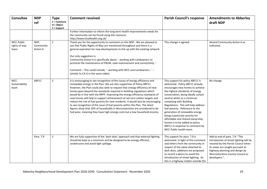| Consultee                                  | <b>NDP</b><br>ref             | <b>Type</b><br>$C = Comment$<br>$O = Object$<br>S = Support | <b>Comment received</b>                                                                                                                                                                                                                                                                                                                                                                                                                                                                                                                                                                                                                                                                                                                                                                                 | <b>Parish Council's response</b>                                                                                                                                                                                                                                                                                                                                                                                                                                                                                          | <b>Amendments to Abberley</b><br>draft NDP                                                                                                                                                                                                 |
|--------------------------------------------|-------------------------------|-------------------------------------------------------------|---------------------------------------------------------------------------------------------------------------------------------------------------------------------------------------------------------------------------------------------------------------------------------------------------------------------------------------------------------------------------------------------------------------------------------------------------------------------------------------------------------------------------------------------------------------------------------------------------------------------------------------------------------------------------------------------------------------------------------------------------------------------------------------------------------|---------------------------------------------------------------------------------------------------------------------------------------------------------------------------------------------------------------------------------------------------------------------------------------------------------------------------------------------------------------------------------------------------------------------------------------------------------------------------------------------------------------------------|--------------------------------------------------------------------------------------------------------------------------------------------------------------------------------------------------------------------------------------------|
|                                            |                               |                                                             | Further information to inform the long term health improvements needs for<br>the community can be found using this resource:<br>http://www.localhealth.org.uk/                                                                                                                                                                                                                                                                                                                                                                                                                                                                                                                                                                                                                                          |                                                                                                                                                                                                                                                                                                                                                                                                                                                                                                                           |                                                                                                                                                                                                                                            |
| <b>WCC Public</b><br>rights of way<br>team | NDP,<br>Community<br>Action 6 | $\mathsf{C}$                                                | Thank you for the opportunity to comment on this NDP. We are pleased to<br>see that Public Rights of Way are mentioned throughout and there is a<br>general aspiration for new developments to link up with the existing network.<br>Our only suggestion is:<br>Community Action 6 is specifically about 'working with Landowners to<br>promote the maintenance of PRoW, seek improvement and connectivity'<br>Comment - This could include, 'working with WCC and Landowners' -<br>(similar to CA-4 in the same table).                                                                                                                                                                                                                                                                                | This change is agreed.                                                                                                                                                                                                                                                                                                                                                                                                                                                                                                    | Amend Community Action 6 as<br>indicated.                                                                                                                                                                                                  |
| <b>WCC</b><br>Sustainability<br>team       | ABY11                         | S                                                           | It is encouraging to see recognition of the issues of energy efficiency and<br>renewable energy in the Plan. We are also supportive of Policy ABY11.<br>However, the Plan could also seek to request that energy efficiency of new<br>homes goes beyond the standards required in building regulations which<br>would be in line with the NPPF. Improving the energy efficiency standards of<br>new homes will help to support achievement of net zero carbon targets and<br>reduce the risk of fuel poverty for new residents. It would also be encouraging<br>to see recognition of the issue of fuel poverty within the Plan. The latest<br>figures show that 10% of households in Worcestershire are considered to be<br>fuel poor, meaning they have high energy costs but a low household income. | This support for policy ABY11 is<br>welcomed. Policy ABY11 already<br>encourages new homes to achieve<br>the highest standards of energy<br>conservation, being ideally carbon<br>neutral whilst as a minimum<br>complying with Building<br>Regulations. This will help address<br>fuel poverty. Reference to the<br>generation of renewable energy<br>being a particular priority for<br>affordable and shared ownership<br>homes is to be added to policy<br>ABY11 in response to comment by<br>WCC Public health team. | No change.                                                                                                                                                                                                                                 |
|                                            | Para. 7.9                     | S                                                           | We are fully supportive of the 'dark skies' approach and that external lighting<br>should be kept to a minimum and be designed to be energy efficient,<br>unobtrusive and avoid light spillage.                                                                                                                                                                                                                                                                                                                                                                                                                                                                                                                                                                                                         | This support for para. 7.9 is<br>welcomed. In light of this comment<br>and others from the community in<br>respect of the value attached to<br>dark skies, additions are proposed<br>to record a desire to avoid the<br>introduction of street lighting. As<br>this is a highway matter outside the                                                                                                                                                                                                                       | Add to end of para. 7.9: "The<br>introduction of street lighting will be<br>resisted by the Parish Council when<br>its views are sought pursuant to<br>highway planning and design by<br>Worcestershire County Council or<br>developers.". |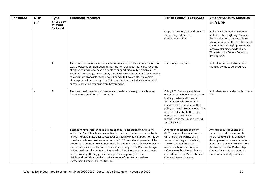| <b>Consultee</b> | <b>NDP</b><br>ref | <b>Type</b><br>$C = Comment$<br>$O = Object$<br>$S = Support$ | <b>Comment received</b>                                                                                                                                                                                                                                                                                                                                                                                                                                                                                                                                                                                                                                                                                                                              | <b>Parish Council's response</b>                                                                                                                                                                                                                                                                                                        | <b>Amendments to Abberley</b><br>draft NDP                                                                                                                                                                                                                                         |
|------------------|-------------------|---------------------------------------------------------------|------------------------------------------------------------------------------------------------------------------------------------------------------------------------------------------------------------------------------------------------------------------------------------------------------------------------------------------------------------------------------------------------------------------------------------------------------------------------------------------------------------------------------------------------------------------------------------------------------------------------------------------------------------------------------------------------------------------------------------------------------|-----------------------------------------------------------------------------------------------------------------------------------------------------------------------------------------------------------------------------------------------------------------------------------------------------------------------------------------|------------------------------------------------------------------------------------------------------------------------------------------------------------------------------------------------------------------------------------------------------------------------------------|
|                  |                   |                                                               |                                                                                                                                                                                                                                                                                                                                                                                                                                                                                                                                                                                                                                                                                                                                                      | scope of the NDP, it is addressed in<br>supporting text and as a<br>Community Action.                                                                                                                                                                                                                                                   | Add a new Community Action to<br>table 2 re street lighting: "To resist<br>the introduction of street lighting<br>when the views of the Parish Council/<br>community are sought pursuant to<br>highway planning and design by<br>Worcestershire County Council or<br>developers.". |
|                  |                   | C                                                             | The Plan does not make reference to future electric vehicle infrastructure. We<br>would welcome consideration of the inclusion of/support for electric vehicle<br>charging points in new developments to support air quality objectives. The<br>Road to Zero strategy produced by the UK Government outlined the intention<br>to consult on proposals for all new UK homes to have an electric vehicle<br>charge point where appropriate. This consultation concluded October 2019 -<br>currently awaiting response from Government.                                                                                                                                                                                                                 | This change is agreed.                                                                                                                                                                                                                                                                                                                  | Add reference to electric vehicle<br>charging points to policy ABY11.                                                                                                                                                                                                              |
|                  |                   | $\mathsf{C}$                                                  | The Plan could consider improvements to water efficiency in new homes,<br>including the provision of water butts.                                                                                                                                                                                                                                                                                                                                                                                                                                                                                                                                                                                                                                    | Policy ABY11 already identifies<br>water conservation as an aspect of<br>building sustainability, and a<br>further change is proposed in<br>response to a comment on this<br>policy by Severn Trent, above. The<br>provision of water butts in new<br>homes could usefully be<br>highlighted in the supporting text<br>to policy ABY11. | Add reference to water butts to para.<br>7.3.                                                                                                                                                                                                                                      |
|                  |                   |                                                               | There is minimal reference to climate change - adaptation or mitigation,<br>within the Plan. Climate change mitigation and adaptation are central to the<br>NPPF. The UK Climate Change Act 2008 sets legally binding targets for the UK<br>to reduce carbon emissions to net zero by 2050. New developments will be<br>around for a considerable number of years, it is important that they remain fit<br>for purpose over their lifetime as the climate changes. The Plan and Design<br>Guide could consider actions to improve local resilience to climate change,<br>such as wider guttering, green roofs, permeable paving etc. The<br>Neighbourhood Plan could also take account of the Worcestershire<br>Partnership Climate Change Strategy. | A number of aspects of policy<br>ABY11 support local resilience to<br>climate change, particularly in<br>terms of building sustainability.<br>The explanation for these<br>measures should encompass<br>reference to the climate change<br>context and to the Worcestershire<br>Climate Change Strategy.                                | Amend policy ABY11 and the<br>supporting text to incorporate<br>reference to ensuring that new<br>development includes adaptation or<br>mitigation to climate change. Add<br>the Worcestershire Partnership<br>Climate Change Strategy to the<br>evidence base at Appendix A.      |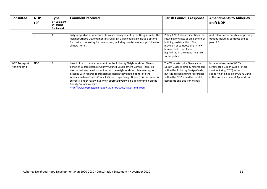| <b>Consultee</b>                             | <b>NDP</b><br>ref | <b>Type</b><br>$C = Comment$<br>$O = Object$<br>$S = Support$ | <b>Comment received</b>                                                                                                                                                                                                                                                                                                                                                                                                                                                                                                                           | <b>Parish Council's response</b>                                                                                                                                                                                                  | <b>Amendments to Abberley</b><br>draft NDP                                                                                                                                  |
|----------------------------------------------|-------------------|---------------------------------------------------------------|---------------------------------------------------------------------------------------------------------------------------------------------------------------------------------------------------------------------------------------------------------------------------------------------------------------------------------------------------------------------------------------------------------------------------------------------------------------------------------------------------------------------------------------------------|-----------------------------------------------------------------------------------------------------------------------------------------------------------------------------------------------------------------------------------|-----------------------------------------------------------------------------------------------------------------------------------------------------------------------------|
|                                              |                   |                                                               |                                                                                                                                                                                                                                                                                                                                                                                                                                                                                                                                                   |                                                                                                                                                                                                                                   |                                                                                                                                                                             |
|                                              |                   | C                                                             | Fully supportive of references to waste management in the Design Guide. The<br>Neighbourhood Development Plan/Design Guide could also include options<br>for onsite composting for new homes, including provision of compost bins for<br>all new homes.                                                                                                                                                                                                                                                                                           | Policy ABY11 already identifies the<br>recycling of waste as an element of<br>building sustainability. The<br>provision of compost bins in new<br>homes could usefully be<br>highlighted in the supporting text<br>to the policy. | Add reference to on-site composting<br>options including compost bins to<br>para. 7.3.                                                                                      |
| <b>WCC Transport</b><br><b>Planning Unit</b> | <b>NDP</b>        | C                                                             | would like to make a comment on the Abberley Neighbourhood Plan on<br>behalf of Worcestershire County Council Development Control Team. To<br>ensure that any development within the neighbourhood plan meets good<br>practice with regards to streetscape design they should adhere to the<br>Worcestershire County Council's Streetscape Design Guide. This document is<br>currently under review but when approved you will be able to find it on the<br>County Council website<br>http://www.worcestershire.gov.uk/info/20007/travel and road | The Worcestershire Streetscape<br>Design Guide is already referenced<br>within the Abberley Design Guide,<br>but it is agreed a further reference<br>within the NDP would be helpful to<br>applicants and decision makers.        | Include reference to WCC's<br>Streetscape Design Guide (latest<br>version Spring 2020) in the<br>supporting text to policy ABY11 and<br>in the evidence base at Appendix A. |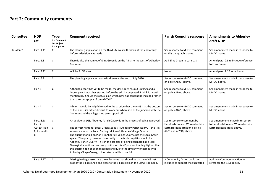### **Part 2: Community comments**

| Consultee  | <b>NDP</b><br>ref               | <b>Type</b><br>$C = Comment$<br>$O = Object$<br>$S = Support$ | <b>Comment received</b>                                                                                                                                                                                                                                                                                                                                                                                                                                                                                                                                                                                                           | <b>Parish Council's response</b>                                 | <b>Amendments to Abberley</b><br>draft NDP                             |
|------------|---------------------------------|---------------------------------------------------------------|-----------------------------------------------------------------------------------------------------------------------------------------------------------------------------------------------------------------------------------------------------------------------------------------------------------------------------------------------------------------------------------------------------------------------------------------------------------------------------------------------------------------------------------------------------------------------------------------------------------------------------------|------------------------------------------------------------------|------------------------------------------------------------------------|
| Resident 1 | Para. 1.11                      | C                                                             | The planning application on the third site was withdrawn at the end of July<br>before a decision was made.                                                                                                                                                                                                                                                                                                                                                                                                                                                                                                                        | See response to MHDC comment<br>on this paragraph, above.        | See amendment made in response to<br>MHDC, above.                      |
|            | Para, 2.8                       | $\mathsf{C}$                                                  | There is also the hamlet of Elms Green is on the A443 to the west of Abberley<br>Common                                                                                                                                                                                                                                                                                                                                                                                                                                                                                                                                           | Add Elms Green to para. 2.8.                                     | Amend para. 2.8 to include reference<br>to Elms Green.                 |
|            | Para. 2.12                      | $\mathsf{C}$                                                  | Will be 7 LGS sites.                                                                                                                                                                                                                                                                                                                                                                                                                                                                                                                                                                                                              | Noted.                                                           | Amend para. 2.12 as indicated.                                         |
|            | Para. 5.7                       | C                                                             | The planning application was withdrawn at the end of July 2020.                                                                                                                                                                                                                                                                                                                                                                                                                                                                                                                                                                   | See response to MHDC comment<br>on policy ABY3, above.           | See amendment made in response to<br>MHDC, above.                      |
|            | Plan 3                          | $\mathsf{C}$                                                  | Although a start has yet to be made, the developer has put up flags and a<br>large sign - if work has started before the edit is completed, I think its worth<br>mentioning. Should the actual plan which now has consent be included rather<br>than the concept plan from AECOM?                                                                                                                                                                                                                                                                                                                                                 | See response to MHDC comment<br>on policy ABY4, above.           | See amendment made in response to<br>MHDC, above.                      |
|            | Plan 4                          | C                                                             | think it would be helpful to add to the caption that the A443 is at the bottom<br>of the plan - its rather difficult to work out where it is as the junction with The<br>Common and the village shop are cropped off.                                                                                                                                                                                                                                                                                                                                                                                                             | See response to MHDC comment<br>on policy ABY5, above.           | See amendment made in response to<br>MHDC, above.                      |
|            | Para. 6.13,<br>Plan 7           | $\mathsf{C}$                                                  | An additional LGS, Abberley Parish Quarry is in the process of being approved.                                                                                                                                                                                                                                                                                                                                                                                                                                                                                                                                                    | See response to comment by<br>Herefordshire and Worcestershire   | See amendments made in response<br>to Herefordshire and Worcestershire |
|            | ABY10, Plan<br>8, Appendix<br>В | $\mathsf C$                                                   | The correct name for Local Green Space 7 is Abberley Parish Quarry - this is a<br>separate site to the Local Geological Site of Abberley Village Quarry.<br>The quarry marked on Plan 8 is Abberley Village Quarry, not the Local Green<br>space. The quarry is named incorrectly in the table on p48 - should be<br>Abberley Parish Quarry - it is in the process of being designated as a local<br>Geological site (it isn't currently) - it was this NP process that highlighted that<br>this quarry had not been recorded and due to the similarity of names with<br>Abberley Village Quarry, it has taken a while to unpick. | Earth Heritage Trust on policies<br>ABY9 and ABY10, above.       | Earth Heritage Trust, above.                                           |
|            | Para. 7.17                      | C                                                             | Missing heritage assets are the milestones that should be on the A443 just<br>east of the Village Shop and close to the Village Hall on the Clows Top Road.                                                                                                                                                                                                                                                                                                                                                                                                                                                                       | A Community Action could be<br>included to support the suggested | Add new Community Action to<br>reference the issue raised.             |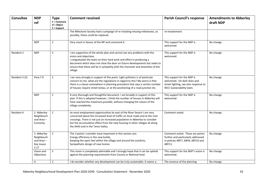| Consultee      | <b>NDP</b><br>ref                                             | <b>Type</b><br>$C = Comment$<br>$O = Object$<br>S = Support | <b>Comment received</b>                                                                                                                                                                                                                                                                                                                                       | <b>Parish Council's response</b>                                                                                                | <b>Amendments to Abberley</b><br>draft NDP |
|----------------|---------------------------------------------------------------|-------------------------------------------------------------|---------------------------------------------------------------------------------------------------------------------------------------------------------------------------------------------------------------------------------------------------------------------------------------------------------------------------------------------------------------|---------------------------------------------------------------------------------------------------------------------------------|--------------------------------------------|
|                |                                                               |                                                             | The Milestone Society had a campaign of re-instating missing milestones, so<br>possibly, these could be replaced.                                                                                                                                                                                                                                             | re-instatement.                                                                                                                 |                                            |
|                | <b>NDP</b>                                                    | $\mathsf{C}$                                                | Very much in favour of the NP and commend it.                                                                                                                                                                                                                                                                                                                 | This support for the NDP is<br>welcomed.                                                                                        | No change.                                 |
| Resident 2     | <b>NDP</b>                                                    | $\mathsf S$                                                 | I am supportive of the whole plan and cannot see any problems with the<br>vision and objectives.<br>I congratulate the team on their hard work and effort in producing a<br>document which does not close the door on future developments but seeks to<br>ensure that these will be in sympathy with the character and amenities of the<br>village.           | This support for the NDP is<br>welcomed.                                                                                        | No change.                                 |
| Resident 3 (2) | Para.7.9                                                      | S                                                           | I am very strongly in support of this point. Light pollution is of particular<br>concern to me. what are the regulations in regard to this? My worry is that<br>there is a clause somewhere in planning procedure that says a certain number<br>of houses require street lamps, or at the positioning of a road junction etc.                                 | This support for the NDP is<br>welcomed. On dark skies and<br>street lighting, see also response to<br>WCC Sustainability team. | No change.                                 |
|                | <b>NDP</b>                                                    | $\mathsf C$                                                 | A very thorough and thoughtful document. I am broadly in support of this<br>plan. If this is adopted however, I think the number of houses in Abberley will<br>have reached the maximum possible, without changing the nature of the<br>village completely.                                                                                                   | This support for the NDP is<br>welcomed.                                                                                        | No change.                                 |
| Resident 4     | 2. Abberley<br>Neighbourh<br>ood Area-<br>Economy.            | $\mathsf C$                                                 | As most employment opportunities lie east of the River Severn I am very<br>concerned about the increased level of traffic on local roads and at the river<br>crossings. There is not just an increased population in Abberley to consider<br>but the accumulative effect from the new housing in other villages all along<br>the A443 and in the Teme Valley. | Comment noted.                                                                                                                  | No change.                                 |
|                | 2. Abberley<br>Neighbourh<br>ood Area -<br>Key Issues<br>2.17 | $\mathsf{C}$                                                | The 3 points I consider most important in this section are;<br>Energy efficiency in the new builds,<br>Keeping the open feel within the village and around the outskirts,<br>Sympathetic design of new homes                                                                                                                                                  | Comment noted. These are points<br>further and particularly addressed<br>in policies ABY7, ABY8, ABY10 and<br>ABY11.            | No change.                                 |
|                | Vision and<br>Objectives                                      | S                                                           | This vision is completely admirable and I strongly hope that it can be upheld<br>against the planning requirements from County or National level.                                                                                                                                                                                                             | This support for the NDP's vision is<br>welcomed.                                                                               | No change.                                 |
|                | 4.                                                            | $\mathsf C$                                                 | I do wonder whether any development can be truly sustainable. It seems a                                                                                                                                                                                                                                                                                      | The essence of the planning                                                                                                     | No change.                                 |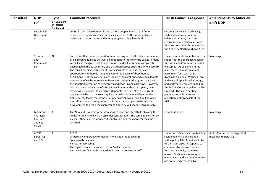| <b>Consultee</b> | <b>NDP</b><br>ref                                         | <b>Type</b><br>$C = Comment$<br>$O = Object$<br>$S = Support$ | <b>Comment received</b>                                                                                                                                                                                                                                                                                                                                                                                                                                                                                                                                                                                                                                                                                                                                                                                                                                                                                                                                                                                                                                                                                                                                                                                    | <b>Parish Council's response</b>                                                                                                                                                                                                                                                                                                                                                                                                                                          | <b>Amendments to Abberley</b><br>draft NDP               |
|------------------|-----------------------------------------------------------|---------------------------------------------------------------|------------------------------------------------------------------------------------------------------------------------------------------------------------------------------------------------------------------------------------------------------------------------------------------------------------------------------------------------------------------------------------------------------------------------------------------------------------------------------------------------------------------------------------------------------------------------------------------------------------------------------------------------------------------------------------------------------------------------------------------------------------------------------------------------------------------------------------------------------------------------------------------------------------------------------------------------------------------------------------------------------------------------------------------------------------------------------------------------------------------------------------------------------------------------------------------------------------|---------------------------------------------------------------------------------------------------------------------------------------------------------------------------------------------------------------------------------------------------------------------------------------------------------------------------------------------------------------------------------------------------------------------------------------------------------------------------|----------------------------------------------------------|
|                  | Sustainable<br>Developme<br>nt. 4.1                       |                                                               | contradiction. Development leads to more people, more use of finite<br>resources as regards building supplies, increased traffic, more pollution,<br>higher demands on water and energy supplies. Is it achievable?                                                                                                                                                                                                                                                                                                                                                                                                                                                                                                                                                                                                                                                                                                                                                                                                                                                                                                                                                                                        | system's approach to achieving<br>sustainable development is to<br>balance economic, social and<br>environmental objectives. Policy<br>ABY1 sets out what this means for<br>the Abberley Neighbourhood Area.                                                                                                                                                                                                                                                              |                                                          |
|                  | 5. Social<br>and<br>Community<br>5.5                      | $\mathsf{O}$                                                  | I recognise that there is a need for new housing and if affordable houses can<br>bring in young families that will be of benefit to the life of the village in many<br>ways. I also recognise that things cannot stand still or remain completely<br>unchanged in the 21st century and that these issues affect the whole country.<br>The mixed housing requirement is very sensible as long as the scale is<br>appropriate and there is thought given to the design of these homes.<br>ABY3,4, and 5. These concept plans look well thought out and a considerable<br>proportion of each site seems to have been designated as green space with<br>the beneficial retention of hedgerows and good linking pathways. However,<br>with a current population of 836, 56 new homes with an occupancy level<br>averaging 2.5 equates to an extra 140 people. This is 16% of the current<br>population which to me seems quite a large increase in a village the size of<br>Abberley. My fear is that if these numbers are allowed then it will possibly<br>then allow more to be squeezed in. If there then happens to be windfall<br>development too then the character of Abberley will change considerably. | These comments are noted and the<br>support for the approach taken in<br>the Social and Community chapter<br>welcomed. As explained in the<br>plan, there is already planning<br>permission for a total of 51<br>dwellings on land at Walshes Farm<br>and west of Apostle Oak Cottage,<br>and a further six are envisaged on<br>the SWDP allocation on land at The<br>Orchard. These are existing<br>planning commitments and<br>allocation, not proposals of the<br>NDP. | No change.                                               |
|                  | Landscape<br>Character<br>$6.4 - 6.7$<br>and Key<br>Views | $\mathsf C$                                                   | The NCA and LCA were very interesting to read and I feel that following the<br>guidelines in 6.4 to 6.7 is an essential consideration. The same applies to Key<br>Views - Abberley is in wonderful countryside and the character must be<br>retained.                                                                                                                                                                                                                                                                                                                                                                                                                                                                                                                                                                                                                                                                                                                                                                                                                                                                                                                                                      | Comment noted.                                                                                                                                                                                                                                                                                                                                                                                                                                                            | No change.                                               |
|                  | ABY11,<br>paras. 7.8<br>and 7.9                           | $\mathsf{C}$                                                  | ABY11<br>Is there any imperative for builders to include the following? -<br>Solar panels or similar<br>Rainwater harvesting<br>The highest modern standard of roof/wall insulation<br>Permeable surfaces in front gardens/drives to prevent run-off.                                                                                                                                                                                                                                                                                                                                                                                                                                                                                                                                                                                                                                                                                                                                                                                                                                                                                                                                                      | These and other aspects of building<br>sustainability are all included<br>within policy ABY11, and are to be<br>further addressed in response to<br>comments by Severn Trent and<br>WCC Sustainability team (see<br>above). Such measures may be<br>encouraged by the NDP where they<br>are not already required by                                                                                                                                                       | Add reference to the suggested<br>measures to para. 7.3. |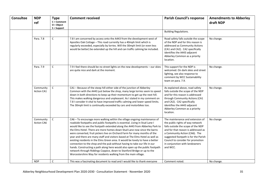| <b>Consultee</b> | <b>NDP</b><br>ref              | <b>Type</b><br>$C = Comment$<br>$O = Object$<br>S = Support | <b>Comment received</b>                                                                                                                                                                                                                                                                                                                                                                                                                                                                                                                                                                                                                                                                                                                                                                                                                                                       | <b>Parish Council's response</b>                                                                                                                                                                                                                                                                              | <b>Amendments to Abberley</b><br>draft NDP |
|------------------|--------------------------------|-------------------------------------------------------------|-------------------------------------------------------------------------------------------------------------------------------------------------------------------------------------------------------------------------------------------------------------------------------------------------------------------------------------------------------------------------------------------------------------------------------------------------------------------------------------------------------------------------------------------------------------------------------------------------------------------------------------------------------------------------------------------------------------------------------------------------------------------------------------------------------------------------------------------------------------------------------|---------------------------------------------------------------------------------------------------------------------------------------------------------------------------------------------------------------------------------------------------------------------------------------------------------------|--------------------------------------------|
|                  |                                |                                                             |                                                                                                                                                                                                                                                                                                                                                                                                                                                                                                                                                                                                                                                                                                                                                                                                                                                                               | <b>Building Regulations.</b>                                                                                                                                                                                                                                                                                  |                                            |
|                  | Para, 7.8                      | $\mathsf{C}$                                                | 7.8 I am concerned by access onto the A443 from the development west of<br>Apostles Oak Cottage - This road currently has a 40mph limit which is<br>regularly exceeded, especially by lorries. Will the 30mph limit (or even less<br>would be better) be extended up the hill and can traffic calming be included.                                                                                                                                                                                                                                                                                                                                                                                                                                                                                                                                                            | Road safety falls outside the scope<br>of the NDP and for this reason is<br>addressed as Community Actions<br>(CA1 and CA2). CA2 specifically<br>identifies the A443 adjacent<br>Abberley Common as a priority<br>location.                                                                                   | No change.                                 |
|                  | Para, 7.9                      | C                                                           | 7.9 I feel there should be no street lights on the new developments - our skies<br>are quite nice and dark at the moment.                                                                                                                                                                                                                                                                                                                                                                                                                                                                                                                                                                                                                                                                                                                                                     | This support for the NDP is<br>welcomed. On dark skies and street<br>lighting, see also response to<br>comment by WCC Sustainability<br>team on para. 7.9.                                                                                                                                                    | No change.                                 |
|                  | Community<br><b>Action CA1</b> | $\mathsf{C}$                                                | CA1 - Because of the steep hill either side of the junction of Abberley<br>Common with the A443 just below the shop, many large lorries seem to speed<br>down in both directions to keep up their momentum to get up the next hill.<br>This makes walking dangerous and unpleasant. As I stated in my comment on<br>7.8 I consider it vital to have improved traffic calming and lower speed limits.<br>The 30mph limit is continually exceeded by cars and motorbikes too.                                                                                                                                                                                                                                                                                                                                                                                                   | As explained above, road safety<br>falls outside the scope of the NDP<br>and for this reason is addressed<br>through Community Actions (CA1<br>and CA2). CA2 specifically<br>identifies the A443 adjacent<br>Abberley Common as a priority<br>location.                                                       | No change.                                 |
|                  | Community<br><b>Action CA6</b> | $\mathsf{C}$                                                | CA6 - To encourage more walking within the village ongoing maintenance of<br>roadside footpaths and public footpaths is essential. Living in Stud Lane I<br>would like to see the footpath extended along the A443 from Abberley Park to<br>the Elms Hotel. There are more homes down Stud Lane now since the barns<br>were converted, fruit pickers live on Orchard Farm for many months of the<br>year and there are many staff and visitors based at The Elms Hotel as well as<br>existing residents in the Elms Green area. It would be lovely to have a better<br>connection to the shop and the pub without having to take our life in our<br>hands. Constructing a path along here would also open up the public footpath<br>network through Riddings Coppice, down to Stanford Bridge or up to the<br>Worcestershire Way for residents walking from the main village. | The maintenance and extension of<br>the public rights of way network<br>falls outside the scope of the NDP<br>and for that reason is addressed as<br>a Community Action (CA6). The<br>suggested footpath is for the Parish<br>Council to consider for promotion<br>in conjunction with landowners<br>and WCC. | No change                                  |
|                  | <b>NDP</b>                     | C                                                           | This was a fascinating document to read and I would like to thank everyone                                                                                                                                                                                                                                                                                                                                                                                                                                                                                                                                                                                                                                                                                                                                                                                                    | Comment noted.                                                                                                                                                                                                                                                                                                | No change.                                 |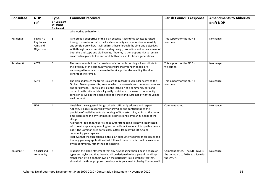| <b>Consultee</b> | <b>NDP</b><br>ref                                  | <b>Type</b><br>$C = Comment$<br>$O = Object$<br>$S = Support$ | <b>Comment received</b>                                                                                                                                                                                                                                                                                                                                                                                                                                                                                                                                                                                                                                                                                                                                                                                                | <b>Parish Council's response</b>                                                   | <b>Amendments to Abberley</b><br>draft NDP |
|------------------|----------------------------------------------------|---------------------------------------------------------------|------------------------------------------------------------------------------------------------------------------------------------------------------------------------------------------------------------------------------------------------------------------------------------------------------------------------------------------------------------------------------------------------------------------------------------------------------------------------------------------------------------------------------------------------------------------------------------------------------------------------------------------------------------------------------------------------------------------------------------------------------------------------------------------------------------------------|------------------------------------------------------------------------------------|--------------------------------------------|
|                  |                                                    |                                                               | who worked so hard on it.                                                                                                                                                                                                                                                                                                                                                                                                                                                                                                                                                                                                                                                                                                                                                                                              |                                                                                    |                                            |
| Resident 5       | Pages 7-9<br>Key Issues,<br>Aims and<br>Objectives | S                                                             | I am broadly supportive of this plan because it identifies key issues raised<br>through consultation with the local community and demonstrates sensibly<br>and considerately how it will address these through the aims and objectives.<br>With thoughtful and sensitive building design, protection and enhancement of<br>both the landscape and biodiversity, Abberley has on opportunity to remain<br>an attractive place to live and work both now and for future generations.                                                                                                                                                                                                                                                                                                                                     | This support for the NDP is<br>welcomed.                                           | No change.                                 |
| Resident 6       | ABY2                                               | S                                                             | The recommendations for provision of affordable housing will contribute to<br>the diversity of the community and ensure that younger people are<br>encouraged to remain, or move to the village thereby enabling the elder<br>generations to remain.                                                                                                                                                                                                                                                                                                                                                                                                                                                                                                                                                                   | This support for the NDP is<br>welcomed.                                           | No change.                                 |
|                  | ABY3                                               | S                                                             | The plan addresses the traffic issues with regards to vehicular access to the<br>Orchard Development site, an area which has already seen numerous crashes<br>and car damage. I particularly like the inclusion of a community park and<br>orchard on this site which will greatly contribute to a sense of community<br>cohesion as well as the ecological biodiversity and sustainability of the village<br>environment.                                                                                                                                                                                                                                                                                                                                                                                             | This support for the NDP is<br>welcomed.                                           | No change.                                 |
|                  | <b>NDP</b>                                         | $\mathsf C$                                                   | I feel that the suggested design criteria sufficiently address and respect<br>Abberley Village's responsibility for providing and contributing to the<br>provision of available, suitable housing In Worcestershire, whilst at the same<br>time addressing the environmental, aesthetic and community needs of the<br>village.<br>At present I feel that Abberley does suffer from being slightly disconnected,<br>with previous planning seeming to create distinct areas and footpath access is<br>poor. The Common area particularly suffers from having little, to no,<br>community green spaces.<br>I believe that the suggestions in this plan adequately address these issues and<br>that any planning applications that followed these criteria could be welcomed<br>by the community rather than objected to. | Comment noted.                                                                     | No change.                                 |
| Resident 7       | 5 Social and<br>community                          | S                                                             | I support the plan's statement that any new housing should be in a range of<br>types and styles and that they should be designed to be a part of the village<br>rather than sitting on their own on the periphery. I also strongly feel that,<br>should all the three proposed developments go ahead, Abberley Common will                                                                                                                                                                                                                                                                                                                                                                                                                                                                                             | Comment noted. The NDP covers<br>the period up to 2030, to align with<br>the SWDP. | No change.                                 |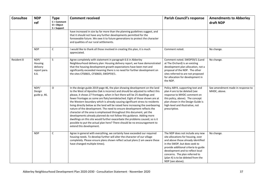| <b>Consultee</b> | <b>NDP</b><br>ref                                   | <b>Type</b><br>$C = Comment$<br>$O = Object$<br>$S = Support$ | <b>Comment received</b>                                                                                                                                                                                                                                                                                                                                                                                                                                                                                                                                                                                                                                                                                                                                                                                                                                                                                               | <b>Parish Council's response</b>                                                                                                                                                                                                                                                                                      | <b>Amendments to Abberley</b><br>draft NDP        |
|------------------|-----------------------------------------------------|---------------------------------------------------------------|-----------------------------------------------------------------------------------------------------------------------------------------------------------------------------------------------------------------------------------------------------------------------------------------------------------------------------------------------------------------------------------------------------------------------------------------------------------------------------------------------------------------------------------------------------------------------------------------------------------------------------------------------------------------------------------------------------------------------------------------------------------------------------------------------------------------------------------------------------------------------------------------------------------------------|-----------------------------------------------------------------------------------------------------------------------------------------------------------------------------------------------------------------------------------------------------------------------------------------------------------------------|---------------------------------------------------|
|                  |                                                     |                                                               | have increased in size by far more than the planning guidelines suggest, and<br>that it should not have any further developments permitted for the<br>foreseeable future. We owe it to future generations to protect the character<br>and qualities of our rural settlements.                                                                                                                                                                                                                                                                                                                                                                                                                                                                                                                                                                                                                                         |                                                                                                                                                                                                                                                                                                                       |                                                   |
|                  | <b>NDP</b>                                          | $\mathsf C$                                                   | I would like to thank all those involved in creating this plan, it is much<br>appreciated.                                                                                                                                                                                                                                                                                                                                                                                                                                                                                                                                                                                                                                                                                                                                                                                                                            | Comment noted.                                                                                                                                                                                                                                                                                                        | No change.                                        |
| Resident 8       | NDP/<br>Housing<br>delivery<br>report para.<br>6.6. | S                                                             | Agree completely with statement in paragraph 6.6 in Abberley<br>Neighbourhood delivery plan: Housing delivery report, we have demonstrated<br>that the housing development growth expectations have been met and<br>significantly exceeded meaning there is no need for further development on<br>the sites CFS0601, CFS0603, SWDP59/1.                                                                                                                                                                                                                                                                                                                                                                                                                                                                                                                                                                               | Comment noted. SWDP59/1 (Land<br>at The Orchard) is an existing<br>development plan allocation, not a<br>proposal of the NDP. The other<br>sites referred to are not proposed<br>for allocation for development in<br>the NDP.                                                                                        | No change.                                        |
|                  | NDP/<br>Design<br>guide p. 46.                      | $\Omega$                                                      | In the design guide 2019 page 46, the plan showing development on the land<br>to the West of Apostles Oak is incorrect and should be adjusted to reflect this<br>please, it shows 27 frontages, when in fact there will be 25 dwellings and<br>fewer frontages as some are flats/semidetached. Eight of those shown are at<br>the Western boundary which is already causing significant stress to residents<br>living directly below as the land will be raised here increasing the overbearing<br>nature of the development. The need to ensure development reflects the<br>character of the area is emphasised throughout this document, yet the<br>developments already planned do not follow this guidance. Adding more<br>dwellings on this site would further exacerbate the problems caused, so is it<br>possible to put the actual plan here? There should be no encouragement to<br>extend this development. | Policy ABY4, supporting text and<br>plan 4 are to be deleted (see<br>response to MHDC comment on<br>this policy, above). The concept<br>plan shown in the Design Guide is<br>high-level and illustrative, not<br>prescriptive.                                                                                        | See amendment made in response to<br>MHDC, above. |
|                  | <b>NDP</b>                                          | $\mathsf C$                                                   | Agree in general with everything, we certainly have exceeded our required<br>housing needs. To develop further will alter the character of our village<br>completely. Please ensure plans shown reflect actual plans (I am aware these<br>have changed multiple times).                                                                                                                                                                                                                                                                                                                                                                                                                                                                                                                                                                                                                                               | The NDP does not include any new<br>site allocations for housing, over<br>and above those already identified<br>in the SWDP, but does seek to<br>provide additional criteria to guide<br>development and to reflect local<br>concerns. The plan referred to<br>(plan 4) is to be deleted from the<br>NDP (see above). | No change.                                        |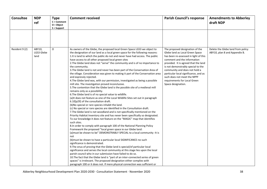| <b>Consultee</b> | <b>NDP</b><br>ref            | <b>Type</b><br>$C = Comment$<br>$O = Object$<br>$S = Support$ | <b>Comment received</b>                                                                                                                                                                                                                                                                                                                                                                                                                                                                                                                                                                                                                                                                                                                                                                                                                                                                                                                                                                                                                                                                                                                                                                                                                                                                                                                                                                                                                                                                                                                                                                                                                                                                                                                                                                                                                                                                                                                                                                                                                                                                                                                                                                                                                           | <b>Parish Council's response</b>                                                                                                                                                                                                                                                                                                                                                        | <b>Amendments to Abberley</b><br>draft NDP                         |
|------------------|------------------------------|---------------------------------------------------------------|---------------------------------------------------------------------------------------------------------------------------------------------------------------------------------------------------------------------------------------------------------------------------------------------------------------------------------------------------------------------------------------------------------------------------------------------------------------------------------------------------------------------------------------------------------------------------------------------------------------------------------------------------------------------------------------------------------------------------------------------------------------------------------------------------------------------------------------------------------------------------------------------------------------------------------------------------------------------------------------------------------------------------------------------------------------------------------------------------------------------------------------------------------------------------------------------------------------------------------------------------------------------------------------------------------------------------------------------------------------------------------------------------------------------------------------------------------------------------------------------------------------------------------------------------------------------------------------------------------------------------------------------------------------------------------------------------------------------------------------------------------------------------------------------------------------------------------------------------------------------------------------------------------------------------------------------------------------------------------------------------------------------------------------------------------------------------------------------------------------------------------------------------------------------------------------------------------------------------------------------------|-----------------------------------------------------------------------------------------------------------------------------------------------------------------------------------------------------------------------------------------------------------------------------------------------------------------------------------------------------------------------------------------|--------------------------------------------------------------------|
|                  |                              |                                                               |                                                                                                                                                                                                                                                                                                                                                                                                                                                                                                                                                                                                                                                                                                                                                                                                                                                                                                                                                                                                                                                                                                                                                                                                                                                                                                                                                                                                                                                                                                                                                                                                                                                                                                                                                                                                                                                                                                                                                                                                                                                                                                                                                                                                                                                   |                                                                                                                                                                                                                                                                                                                                                                                         |                                                                    |
| Resident 9(2)    | ABY10,<br>LGS3 Glebe<br>land | O                                                             | As owners of the Glebe, the proposed local Green Space LGS3 we object to<br>the designation of our land as a local green space for the following reasons:<br>1. It is land to which the public do not and never have had access. The public<br>have access to all other proposed local green sites<br>2. The Glebe land does not "serve" the community and is of no importance to<br>the community.<br>3. The Glebe land is not and never has been part of the Conservation Area of<br>the village. Consideration was given to making it part of the Conservation area<br>and expressly rejected.<br>4. The Glebe land was, with our permission, investigated as being a possible<br>mill site. The investigation proved inconclusive.<br>5. The contention that the Glebe land is the possible site of a medieval mill<br>remains only as a possibility.<br>6. The Glebe land is of no special value to wildlife.<br>(a)It does not feature as one of the Local Wildlife Sites set out in paragraph<br>6.10[p29] of the consultation draft.<br>(b)No special or rare species inhabit the land.<br>(c) No special or rare species are identified in the Consultation draft.<br>7. The Glebe land is not woodland and is not specifically mentioned on the<br>Priority Habitat Inventory site and has never been specifically so designated.<br>To our knowledge it does not feature on the "MAGIC" map that identifies<br>such sites.<br>8. In order to comply with paragraph 100 of the National Planning Policy<br>Framework the proposed "local green space ie our Glebe land:<br>(a) must be shown to be" DEMONSTRABLY SPECIAL to a local community - It is<br>not<br>(b)must be shown to have a particular local SIGNIFICANCE-no such<br>significance is demonstrated.<br>9. The onus of proving that the Glebe land is special/of particular local<br>significance and serves the local community at this stage lies upon the local<br>parish council who in our submission have failed to do so.<br>10. The fact that the Glebe land is "part of an inter-connected series of green<br>spaces" is irrelevant. The proposed designation either complies with<br>paragraph 100 or it does not. If mere physical connection was sufficient or | The proposed designation of the<br>Glebe land as Local Green Space<br>has been re-assessed in light of this<br>comment and the information<br>provided. It is agreed that the land<br>is not demonstrably special to the<br>community and does not hold a<br>particular local significance, and as<br>such does not meet the NPPF<br>requirements for Local Green<br>Space designation. | Delete the Glebe land from policy<br>ABY10, plan 8 and Appendix B. |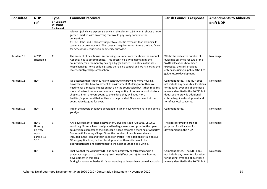| Consultee   | <b>NDP</b><br>ref                                             | <b>Type</b><br>$C = Comment$<br>$O = Object$<br>$S = Support$ | <b>Comment received</b>                                                                                                                                                                                                                                                                                                                                                                                                                                                                                                             | <b>Parish Council's response</b>                                                                                                                                                                                                                      | <b>Amendments to Abberley</b><br>draft NDP |
|-------------|---------------------------------------------------------------|---------------------------------------------------------------|-------------------------------------------------------------------------------------------------------------------------------------------------------------------------------------------------------------------------------------------------------------------------------------------------------------------------------------------------------------------------------------------------------------------------------------------------------------------------------------------------------------------------------------|-------------------------------------------------------------------------------------------------------------------------------------------------------------------------------------------------------------------------------------------------------|--------------------------------------------|
|             |                                                               |                                                               | relevant (which we expressly deny it is) the plan on p.34 (Plan 8) shows a large<br>garden (marked with an arrow) that would physically complete the<br>connection.<br>11. The Glebe land is already subject to a specific covenant that prohibits its<br>open sale or development. The covenant requires us not to use the land "save<br>for agricultural, equestrian or amenity purposes".                                                                                                                                        |                                                                                                                                                                                                                                                       |                                            |
| Resident 10 | ABY11<br>criterion 4                                          | $\mathsf C$                                                   | The amount of new houses is confusing - numbers are for above the amount<br>Abberley has to accommodate. This doesn't help with maintaining the<br>countryside/environment by having a bigger burden. Quantities of houses<br>keep changing – once building starts there is no control and we risk losing the<br>lovely country/village atmosphere.                                                                                                                                                                                 | Whilst the indicative number of<br>dwellings assumed for two of the<br>SWDP allocations have been<br>exceeded, the NDP provides<br>criteria including in policy ABY11 to<br>guide future development.                                                 | No change.                                 |
| Resident 11 | <b>NDP</b>                                                    | $\mathsf C$                                                   | It's accepted that Abberley has to contribute to providing more housing,<br>however we also have to protect its environment. Building more than we<br>need to has a massive impact on not only the countryside but it then requires<br>more infrastructure to accommodate the quantity of houses, school, doctors,<br>shop etc. From the very young to the elderly they will need more<br>facilities/support and that will have to be provided. Once we have lost the<br>countryside its gone for ever.                             | Comment noted. The NDP does<br>not include any new site allocations<br>for housing, over and above those<br>already identified in the SWDP, but<br>does seek to provide additional<br>criteria to guide development and<br>to reflect local concerns. | No change.                                 |
| Resident 12 | <b>NDP</b>                                                    | S                                                             | I think the people that have developed this plan have worked hard and done a<br>good job.                                                                                                                                                                                                                                                                                                                                                                                                                                           | Comment noted.                                                                                                                                                                                                                                        | No change.                                 |
| Resident 13 | NDP/<br>Housing<br>delivery<br>report<br>paras.5.13-<br>5.15. | $\mathsf C$                                                   | Any development of sites east/rear of Clows Top Road (CFS0601, CFS0603)<br>would significantly harm designated heritage assets, compromise the open<br>countryside character of the landscape & lead towards a merging of Abberley<br>Common & Abberley Village. Given the number of new houses already<br>included in the Plan and their impact on traffic + the additional strain on our<br>GP surgery & school, further development on these sites would be<br>disproportionate and detrimental to the neighbourhood as a whole. | The sites referred to are not<br>proposed for allocation for<br>development in the NDP.                                                                                                                                                               | No change.                                 |
|             | <b>NDP</b>                                                    | $\mathsf C$                                                   | believe that the Abberley NDP has been positively constructed and is a<br>pragmatic approach to the recognised need (if not desire) for new housing<br>development in this area.<br>During lockdown Abberley & it's surrounding pathways have proved a popular                                                                                                                                                                                                                                                                      | Comment noted. The NDP does<br>not include any new site allocations<br>for housing, over and above those<br>already identified in the SWDP, but                                                                                                       | No change.                                 |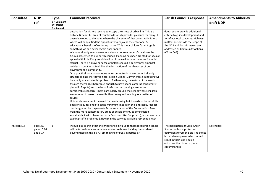| Consultee   | <b>NDP</b><br>ref                   | <b>Type</b><br>$C = Comment$<br>$O = Object$<br>S = Support | <b>Comment received</b>                                                                                                                                                                                                                                                                                                                                                                                                                                                                                                                                                                                                                                                                                                                                                                                                                                                                                                                                                                                                                                                                                                                                                                                                                                                                                                                                                                                                                                                                                                                                                                                                                                                                                                                                                                                                                                                                                                          | <b>Parish Council's response</b>                                                                                                                                                                                                        | <b>Amendments to Abberley</b><br>draft NDP |
|-------------|-------------------------------------|-------------------------------------------------------------|----------------------------------------------------------------------------------------------------------------------------------------------------------------------------------------------------------------------------------------------------------------------------------------------------------------------------------------------------------------------------------------------------------------------------------------------------------------------------------------------------------------------------------------------------------------------------------------------------------------------------------------------------------------------------------------------------------------------------------------------------------------------------------------------------------------------------------------------------------------------------------------------------------------------------------------------------------------------------------------------------------------------------------------------------------------------------------------------------------------------------------------------------------------------------------------------------------------------------------------------------------------------------------------------------------------------------------------------------------------------------------------------------------------------------------------------------------------------------------------------------------------------------------------------------------------------------------------------------------------------------------------------------------------------------------------------------------------------------------------------------------------------------------------------------------------------------------------------------------------------------------------------------------------------------------|-----------------------------------------------------------------------------------------------------------------------------------------------------------------------------------------------------------------------------------------|--------------------------------------------|
|             |                                     |                                                             | destination for visitors seeking to escape the stress of urban life. This is a<br>historic & beautiful area of countryside which provides pleasure for many. If<br>over-developed to the point where the character of that countryside is lost,<br>where will people find the opportunity to enjoy all the emotional &<br>educational benefits of exploring nature? This is our children's heritage &<br>something we can never regain once spoiled.<br>We have already seen developers elevate house numbers/site above the<br>figures presented to our parish council. Planning has been granted for sites on<br>appeal with little if any consideration of the well founded reasons for initial<br>refusal. There is a growing sense of helplessness & hopelessness amongst<br>residents about what feels like the destruction of the character of our<br>environment & community.<br>On a practical note, as someone who commutes into Worcester I already<br>struggle to pass the "bottle neck" at Holt Bridge  any increase in housing will<br>inevitably exacerbate this problem. Furthermore, the nature of the roads<br>through the village (hazardous enough to have speed cameras consistently<br>placed in 2 spots) and the lack of safe on-road parking also causes<br>considerable concern - most particularly around the school where children<br>are required to cross the road both morning and evening as a matter of<br>course.<br>Ultimately, we accept the need for new housing but it needs to: be carefully<br>positioned & designed to cause minimum impact on the landscape, respect<br>our designated heritage assets & the separation of the Conservation Area<br>from the more contemporary areas of development, be constructed<br>sustainably & with character (not a "cookie cutter" approach), not exacerbate<br>existing traffic problems & fit within the services available (GP, school etc). | does seek to provide additional<br>criteria to guide development and<br>to reflect local concerns. Highways<br>matters are outside the scope of<br>the NDP and for this reason are<br>addressed as Community Actions<br>$(CA1 - CA4)$ . |                                            |
| Resident 14 | Page.33,<br>paras. 6.16<br>and 6.17 | S                                                           | I would like to think that the importance in value to these local green spaces<br>will be taken into account when any future house building is considered<br>beyond those in this plan. I am thinking of LGS5 in particular.                                                                                                                                                                                                                                                                                                                                                                                                                                                                                                                                                                                                                                                                                                                                                                                                                                                                                                                                                                                                                                                                                                                                                                                                                                                                                                                                                                                                                                                                                                                                                                                                                                                                                                     | The designation of Local Green<br>Spaces confers a protection<br>equivalent to Green Belt. The effect<br>is that development which would<br>result in their loss is ruled<br>out other than in very special<br>circumstances.           | No change.                                 |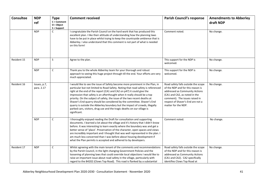| <b>Consultee</b> | <b>NDP</b><br>ref          | <b>Type</b><br>$C = Comment$<br>$O = Object$<br>$S = Support$ | <b>Comment received</b>                                                                                                                                                                                                                                                                                                                                                                                                                                                                                                                                                                                                                                  | <b>Parish Council's response</b>                                                                                                                                                                                                          | <b>Amendments to Abberley</b><br>draft NDP |
|------------------|----------------------------|---------------------------------------------------------------|----------------------------------------------------------------------------------------------------------------------------------------------------------------------------------------------------------------------------------------------------------------------------------------------------------------------------------------------------------------------------------------------------------------------------------------------------------------------------------------------------------------------------------------------------------------------------------------------------------------------------------------------------------|-------------------------------------------------------------------------------------------------------------------------------------------------------------------------------------------------------------------------------------------|--------------------------------------------|
|                  | <b>NDP</b>                 | $\mathsf{C}$                                                  | I congratulate the Parish Council on the hard work that has produced this<br>excellent plan. I like their attitude of understanding how the planning laws<br>have to be put in place whilst trying to keep the countryside ambience that is<br>Abberley. I also understand that this comment is not part of what is needed<br>on this form!                                                                                                                                                                                                                                                                                                              | Comment noted.                                                                                                                                                                                                                            | No change.                                 |
| Resident 15      | <b>NDP</b>                 | <sub>S</sub>                                                  | Agree to the plan.                                                                                                                                                                                                                                                                                                                                                                                                                                                                                                                                                                                                                                       | This support for the NDP is<br>welcomed.                                                                                                                                                                                                  | No change.                                 |
|                  | <b>NDP</b>                 | $\mathsf C$                                                   | Thank you to the whole Abberley team for your thorough and robust<br>approach to seeing this huge project through till the end. Your efforts are very<br>much appreciated.                                                                                                                                                                                                                                                                                                                                                                                                                                                                               | This support for the NDP is<br>welcomed.                                                                                                                                                                                                  | No change.                                 |
| Resident 16      | Issues, p.7,<br>para. 2.17 |                                                               | I would like to see the issue of Safety become more prominent in the Plan, in<br>particular but not limited to Road Safety. Noting that road safety is referenced<br>right at the end of the report (CA1 and CA2 on p47) it could give the<br>impression that safety is an afterthought when it really should be a top<br>priority. On the subject of safety, the issue of the two recent deaths at<br>Shaver's End quarry should be considered by the committee. Shaver's End<br>quarry is outside the Abberley boundary but the impact of crowds, illegally<br>parked cars, visitors, drug use and the tragic deaths on our village is<br>significant. | Road safety falls outside the scope<br>of the NDP and for this reason is<br>addressed as Community Actions<br>(CA1 and CA2, as noted in the<br>comment). The issues raised in<br>respect of Shaver's End are not a<br>matter for the NDP. | No change.                                 |
|                  | <b>NDP</b>                 | $\mathsf C$                                                   | I thoroughly enjoyed reading the Draft for consultation and supporting<br>documents. I learned a lot about the village and it's history that I didn't know<br>before. It was interesting to learn exactly where the boundary was and get a<br>better sense of 'place'. Preservation of the character, open spaces and views<br>are incredibly important and I thought that was well represented in the plan. I<br>am much less concerned than I was before about housing development if<br>what the Plan permits is accepted and adhered to by developers.                                                                                               | Comment noted.                                                                                                                                                                                                                            | No change.                                 |
| Resident 17      | <b>NDP</b>                 | $\mathsf C$                                                   | Whilst agreeing with the main tenant of the comments and recommendations<br>by the Parish Council, in the light changing Government Policies and the<br>loosening of planning laws that could override local objections I would like to<br>raise an important issue about road safety in the village, particularly with<br>regard to the B4202 (Clows Top Road). This road is flanked by a substantial                                                                                                                                                                                                                                                   | Road safety falls outside the scope<br>of the NDP and for this reason is<br>addressed as Community Actions<br>(CA1 and CA2). CA2 specifically<br>identifies Clows Top Road at                                                             | No change.                                 |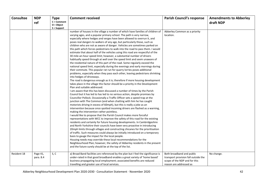| <b>Consultee</b> | <b>NDP</b> | <b>Type</b>                                    | <b>Comment received</b>                                                                                        | <b>Parish Council's response</b>     | <b>Amendments to Abberley</b> |
|------------------|------------|------------------------------------------------|----------------------------------------------------------------------------------------------------------------|--------------------------------------|-------------------------------|
|                  | ref        | $C = Comment$<br>$O = Object$<br>$S = Support$ |                                                                                                                |                                      | draft NDP                     |
|                  |            |                                                | number of houses in the village a number of which have families of children of                                 | Abberley Common as a priority        |                               |
|                  |            |                                                | varying ages, and a popular primary school. The path is very narrow,                                           | location.                            |                               |
|                  |            |                                                | especially where hedges and verges have been allowed to overrun it, and                                        |                                      |                               |
|                  |            |                                                | poses real dangers to walkers of any age, but particularly those, such as                                      |                                      |                               |
|                  |            |                                                | children who are not as aware of danger. Vehicles are sometimes parked on                                      |                                      |                               |
|                  |            |                                                | this path which forces pedestrians to walk into the road to pass them. I would                                 |                                      |                               |
|                  |            |                                                | estimate that about half of the vehicles using this road are respectful of the                                 |                                      |                               |
|                  |            |                                                | 30 mile-an-hour speed limit; however, a substantial number of drivers                                          |                                      |                               |
|                  |            |                                                | habitually speed through at well over the speed limit and seem unaware of                                      |                                      |                               |
|                  |            |                                                | the residential nature of this part of the road. Some regularly exceed the                                     |                                      |                               |
|                  |            |                                                | national speed limit, especially during the evenings and early mornings during                                 |                                      |                               |
|                  |            |                                                | their commute. This popular rat run for quarry lorries poses additional                                        |                                      |                               |
|                  |            |                                                | problems, especially when they pass each other, leaving pedestrians shrinking                                  |                                      |                               |
|                  |            |                                                | into hedges of driveways.                                                                                      |                                      |                               |
|                  |            |                                                | The road is dangerous enough as it is; therefore if more housing development                                   |                                      |                               |
|                  |            |                                                | takes place in the village this factor should be a priority in the Development<br>Plan and suitable addressed. |                                      |                               |
|                  |            |                                                | I am aware that this has been discussed a number of times by the Parish                                        |                                      |                               |
|                  |            |                                                | Council but it has led to has led to no serious action, despite promises by                                    |                                      |                               |
|                  |            |                                                | Councillor Pollock. Occasionally a Traffic Officer sets a speed trap at the                                    |                                      |                               |
|                  |            |                                                | junction with The Common (and when chatting with him he has caught                                             |                                      |                               |
|                  |            |                                                | motorists driving in excess of 60mph), but this is really a joke as an                                         |                                      |                               |
|                  |            |                                                | intervention because once spotted incoming drivers are flashed as a warning,                                   |                                      |                               |
|                  |            |                                                | making the intervention rather pointless.                                                                      |                                      |                               |
|                  |            |                                                | I would like to propose that the Parish Council makes more forceful                                            |                                      |                               |
|                  |            |                                                | representations with WCC to improve the safety of this road for the existing                                   |                                      |                               |
|                  |            |                                                | residents and certainly for future housing developments. In Cambridgeshire                                     |                                      |                               |
|                  |            |                                                | and North Yorkshire their councils have been very proactive in introducing                                     |                                      |                               |
|                  |            |                                                | 20mph limits through villages and constructing chicanes for the prioritisation                                 |                                      |                               |
|                  |            |                                                | of traffic. Such measures could always be initially introduced on a temporary                                  |                                      |                               |
|                  |            |                                                | basis to gauge the impact for the local people.                                                                |                                      |                               |
|                  |            |                                                | Housing needs may override these local recommendations for the                                                 |                                      |                               |
|                  |            |                                                | Neighbourhood Plan; however, the safety of Abberley residents in the present                                   |                                      |                               |
|                  |            |                                                | and the future surely should be at the top of the list.                                                        |                                      |                               |
| Resident 18      | Page 41,   | S, C                                           | a) Broad Band facilities are referenced by the plan but I feel the significance is                             | Both broadband and public            | No change.                    |
|                  | para. 8.4  |                                                | under-rated in that good broadband enables a great variety of 'home based'                                     | transport provision fall outside the |                               |
|                  |            |                                                | business propagating local employment; associated benefits are reduced                                         | scope of the NDP and for this        |                               |
|                  |            |                                                | travelling and greater use of local services.                                                                  | reason are addressed as              |                               |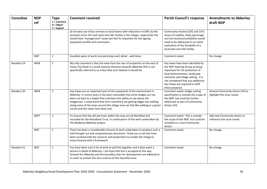| <b>Consultee</b> | <b>NDP</b><br>ref | <b>Type</b><br>$C = Comment$<br>$O = Object$<br>$S = Support$ | <b>Comment received</b>                                                                                                                                                                                                                                                                                                                                                                                                               | <b>Parish Council's response</b>                                                                                                                                                                                                                                                 | <b>Amendments to Abberley</b><br>draft NDP                   |
|------------------|-------------------|---------------------------------------------------------------|---------------------------------------------------------------------------------------------------------------------------------------------------------------------------------------------------------------------------------------------------------------------------------------------------------------------------------------------------------------------------------------------------------------------------------------|----------------------------------------------------------------------------------------------------------------------------------------------------------------------------------------------------------------------------------------------------------------------------------|--------------------------------------------------------------|
|                  |                   |                                                               | b) increase use of bus services to local towns with reduction in traffic by the<br>provision of an off-road 'park and ride' facility in the village; I appreciate this<br>would have 'management' issues but feel its important for the ageing<br>population profile and commuters.                                                                                                                                                   | Community Actions (CA5 and CA7).<br>Issues of viability, likely patronage<br>and site location/availability would<br>need to be addressed in an initial<br>evaluation of the feasibility of a<br>local park and ride facility.                                                   |                                                              |
|                  | <b>NDP</b>        | S                                                             | Excellent piece of work incorporating much detail - well done.                                                                                                                                                                                                                                                                                                                                                                        | Comment noted.                                                                                                                                                                                                                                                                   | No change.                                                   |
| Resident 19      | ABY8              | $\mathsf C$                                                   | My only comment is that the view from the rear of properties on the east of<br>Clows Top Road in a south easterly direction towards Abberley Hills is not<br>specifically referred to as a Key View and I believe it should be.                                                                                                                                                                                                       | Key views have been identified by<br>the NDP Steering Group as being<br>important for the protection of<br>local distinctiveness, landscape<br>character and village setting. It is<br>not considered that any additional<br>Key Views are required to fulfil<br>these purposes. |                                                              |
| Resident 20      | ABY8              | $\mathsf{C}$                                                  | Key Views are an important part of the enjoyment of the environment in<br>Abberley. In recent years it has been noticeable that some hedges are not<br>been cut back to a height that maintains the ability to see above the<br>hedgerows. I understand that farm machinery are getting bigger but walking<br>along some of the lanes around the village now can feel like walking in a green<br>tunnel and the views have been lost. | Comment noted. Hedge cutting<br>specification is outside the scope of<br>the NDP, but could be further<br>addressed as part of Community<br>Action CA3.                                                                                                                          | Amend Community Action CA3 to<br>highlight the issue raised. |
|                  | ABY7              | $\mathsf C$                                                   | To ensure that the old oak trees within the area are all identified and<br>recorded for the Woodland Trust, in continuation of the work undertaken by<br>the Medieval Abberley project.                                                                                                                                                                                                                                               | Comment noted. This is outside<br>the scope of the NDP, but could be<br>included as a new Community<br>Action.                                                                                                                                                                   | Add new Community Action to<br>reference the issue raised.   |
|                  | <b>NDP</b>        | $\mathsf{C}$                                                  | There has been a considerable amount of work undertaken to produce such a<br>well thought out and comprehensive document. Thank you to all that have<br>been involved with the research and preparation to enable the village to<br>move forward with a framework.                                                                                                                                                                    | Comment noted.                                                                                                                                                                                                                                                                   | No change.                                                   |
| Resident 21      | <b>NDP</b>        | $\mathsf C$                                                   | You have done such a lot of work to pull this together and it does paint a<br>picture in detail of Abberley. I do hope that this is accepted as the way<br>forward for Abberley and the boundary lines for development are adhered to<br>in order to protect the very essence of this beautiful area.                                                                                                                                 | Comment noted.                                                                                                                                                                                                                                                                   | No change.                                                   |